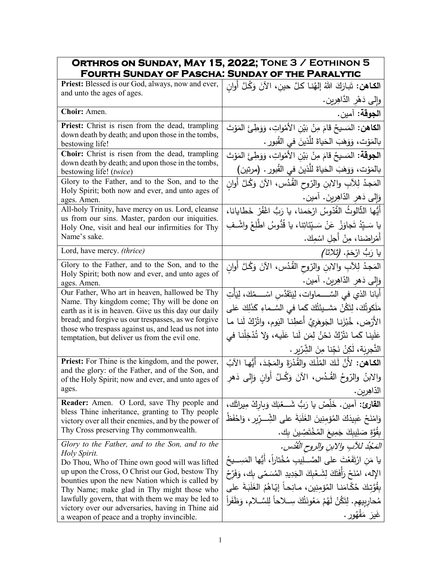| ORTHROS ON SUNDAY, MAY 15, 2022; TONE 3 / EOTHINON 5<br><b>FOURTH SUNDAY OF PASCHA: SUNDAY OF THE PARALYTIC</b> |                                                                                                            |
|-----------------------------------------------------------------------------------------------------------------|------------------------------------------------------------------------------------------------------------|
| Priest: Blessed is our God, always, now and ever,                                                               | ا <b>لكـاهن:</b> تَبارَكَ اللهُ إلهُنـا كلَّ حين، الآنَ وَكُلَّ أُوان                                      |
| and unto the ages of ages.                                                                                      | وإلى دَهْرِ الدَّاهِرِينِ.                                                                                 |
| Choir: Amen.                                                                                                    | ا <b>لجوقة:</b> آمين.                                                                                      |
| <b>Priest:</b> Christ is risen from the dead, trampling                                                         | ا <b>لكاهن:</b> المَسيحُ قامَ مِنْ بَيْنِ الأَمْواتِ، وَوَطِئَ المَوْتَ                                    |
| down death by death; and upon those in the tombs,<br>bestowing life!                                            | بالمَوْت، وَوَهَبَ الحَياةَ للَّذينَ في القُبورِ .                                                         |
| Choir: Christ is risen from the dead, trampling                                                                 | ا <b>لجوقة:</b> المَسيحُ قامَ مِنْ بَيْنِ الأَمْواتِ، وَوَطِئَ المَوْتَ                                    |
| down death by death; and upon those in the tombs,                                                               | بالمَوْت، وَوَهَبَ الْحَياةَ للَّذينَ في القُبور . (مرتين)                                                 |
| bestowing life! (twice)<br>Glory to the Father, and to the Son, and to the                                      | المَجدُ لِلأَبِ والابنِ والرّوح القُدُس، الآنَ وَكُلَّ أُوانِ                                              |
| Holy Spirit; both now and ever, and unto ages of                                                                | وَإِلَى دَهْرِ الذَّاهِرِينَ. أَمين.                                                                       |
| ages. Amen.<br>All-holy Trinity, have mercy on us. Lord, cleanse                                                |                                                                                                            |
| us from our sins. Master, pardon our iniquities.                                                                | أيُّها الثَّالوثُ القُدّوسُ ارْحَمنا، يا رَبُّ اغْفُرْ خَطايانا،                                           |
| Holy One, visit and heal our infirmities for Thy<br>Name's sake.                                                | يا سَـيِّدُ تَجاوَزْ ۚ عَنْ سَـيِّنَاتِنا، يا قُدُّوسُ اطَّلِعْ واشْـفِ<br>أَمْراضَنا، مِنْ أَجلِ اسْمِكَ. |
| Lord, have mercy. (thrice)                                                                                      |                                                                                                            |
| Glory to the Father, and to the Son, and to the                                                                 | يا رَبُّ ارْحَمْ. <i>(ثلاثا)</i>                                                                           |
| Holy Spirit; both now and ever, and unto ages of                                                                | المَجدُ لِلآبِ والابنِ والرّوح القُدُس، الآنَ وَكُلَّ أَوانِ                                               |
| ages. Amen.                                                                                                     | وَإِلَى دَهرِ الذّاهِرِينَ. آمين.                                                                          |
| Our Father, Who art in heaven, hallowed be Thy<br>Name. Thy kingdom come; Thy will be done on                   | أَبانا الذي في السَّــــماوات، لِيَتَقَدَّسِ اسْـــــمُكَ، لِيَأْتِ                                        |
| earth as it is in heaven. Give us this day our daily                                                            | مَلَكوتُكَ، لِتَكُنْ مَشــيئَتُكَ كَما فـى السَّــماءِ كَذَلِكَ عَلـى                                      |
| bread; and forgive us our trespasses, as we forgive<br>those who trespass against us, and lead us not into      | الأرْض، خُبْزَنا الجَوهَرِيَّ أعطِنا اليَوم، واتْرُكْ لَنا ما                                              |
| temptation, but deliver us from the evil one.                                                                   | عَلَينا كَما نَتْرُكُ نَحْنُ لِمَن لَنا عَلَيه، وَلا تُذْخِلْنا في                                         |
|                                                                                                                 | التَّجرِيَة، لَكِنْ نَجِّنا مِنَ الشِّرِّيرِ .                                                             |
| Priest: For Thine is the kingdom, and the power,<br>and the glory: of the Father, and of the Son, and           | الكاهن: لأَنَّ لَكَ المُلْكَ ولِلقُدْرَةَ والمَجْدَ، أَيُّها الآبُ                                         |
| of the Holy Spirit; now and ever, and unto ages of                                                              | والابنُ والرّوحُ القُـدُس، الآنَ وَكُـلَّ أُوانِ وَإِلى دَهرِ                                              |
| ages.                                                                                                           | الدّاهِرين.                                                                                                |
| <b>Reader:</b> Amen. O Lord, save Thy people and                                                                | القارئ: آمين. خَلِّصْ يا رَبُّ شَـــغْبَكَ وَباركْ مِيراثَك،                                               |
| bless Thine inheritance, granting to Thy people<br>victory over all their enemies, and by the power of          | وَامْنَحْ عَبِيدَكَ الْمُؤْمِنِينَ الْغَلَبَةَ على الشِّــرِّيرِ ، وَاحْفَظْ                               |
| Thy Cross preserving Thy commonwealth.                                                                          | بِقُوَّةٍ صَلِيبِكَ جَمِيعَ الْمُخْتَصِّينَ بِك.                                                           |
| Glory to the Father, and to the Son, and to the                                                                 | المَجْدُ للآبِ والابنِ والروحِ الْقُدُسِ.                                                                  |
| Holy Spirit.<br>Do Thou, Who of Thine own good will was lifted                                                  | يا مَن ارْتَفَعْتَ على الصَّــلِيبِ مُخْتاراً، أَيُّها المَسِــيحُ                                         |
| up upon the Cross, O Christ our God, bestow Thy                                                                 | الإله، امْنَحْ رَأَفَتَكَ لِشَعْبِكَ الْجَدِيدِ الْمُسَمّى بِكَ، وَفَرّحْ                                  |
| bounties upon the new Nation which is called by<br>Thy Name; make glad in Thy might those who                   | بِقُوَّتِكَ حُكَّامَنـا المُؤمِنِين، مـانِحـاً إيّـاهُمُ الغَلَبَـةَ على                                   |
| lawfully govern, that with them we may be led to                                                                | مُحارِبِيهِم. لِتَكُنْ لَهُمْ مَعُونَتُكَ سِــلاحاً لِلسَّــلامِ، وَظَفَراً                                |
| victory over our adversaries, having in Thine aid<br>a weapon of peace and a trophy invincible.                 | غَيرَ مَقْهُور .                                                                                           |
|                                                                                                                 |                                                                                                            |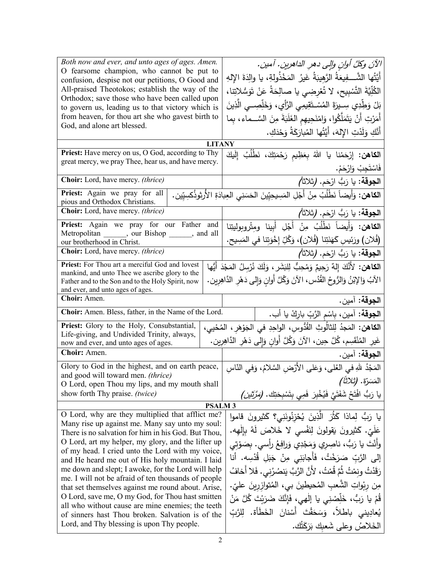| Both now and ever, and unto ages of ages. Amen.<br>O fearsome champion, who cannot be put to<br>confusion, despise not our petitions, O Good and<br>All-praised Theotokos; establish the way of the<br>Orthodox; save those who have been called upon<br>to govern us, leading us to that victory which is<br>from heaven, for thou art she who gavest birth to<br>God, and alone art blessed. | الآنَ وكلَّ أوانِ والِي دهرِ الداهرينِ. آمينِ.<br>أَيَّتُها الشَّـــفِيعَةُ الرَّهِيبَةُ غَيرُ  المَخْذُولةِ، يا والِدَةَ الإِلهِ<br>الكُلِّيَّةَ التَّسْبِيحِ، لا تُعْرِضِي يا صالِحَةُ عَنْ تَوَسُّلاتِنا،<br>بَلْ وَطِّدِي سِـيرَةَ المُسْـتَقِيمِى الرَّأِي، وَخَلِّصِــى الَّذِينَ<br>أَمَرْتِ أَنْ يَتَمَلَّكُوا، وَامْنَحِيهِم الغَلَبَةَ مِنَ السَّــماء، بِما<br>أَنَّكِ وَلَدْتِ الإِلهَ، أَيَّتُها المُبارَكَةُ وَحْدَكِ. |  |  |
|------------------------------------------------------------------------------------------------------------------------------------------------------------------------------------------------------------------------------------------------------------------------------------------------------------------------------------------------------------------------------------------------|--------------------------------------------------------------------------------------------------------------------------------------------------------------------------------------------------------------------------------------------------------------------------------------------------------------------------------------------------------------------------------------------------------------------------------------|--|--|
| <b>LITANY</b>                                                                                                                                                                                                                                                                                                                                                                                  |                                                                                                                                                                                                                                                                                                                                                                                                                                      |  |  |
| Priest: Have mercy on us, O God, according to Thy<br>great mercy, we pray Thee, hear us, and have mercy.                                                                                                                                                                                                                                                                                       | ا <b>لكاهن:</b> إِرْحَمْنا يا اللهُ بِعَظِيم رَحْمَتِكَ، نَطْلُبُ إِلَيكَ<br>فَاسْتَجِبْ وَارْحَمْ.                                                                                                                                                                                                                                                                                                                                  |  |  |
| Choir: Lord, have mercy. (thrice)                                                                                                                                                                                                                                                                                                                                                              | الجوقة: يا رَبُّ ارْحَم. (ثلاثاً)                                                                                                                                                                                                                                                                                                                                                                                                    |  |  |
| Priest: Again we pray for all<br>pious and Orthodox Christians.                                                                                                                                                                                                                                                                                                                                | الكاهن: وَأَيضاً نَطْلُبُ مِنْ أَجْلِ المَسِيحِيِّينَ الحَسَنِي العِبادَةِ الأُرثِوذُكسِيِّين.                                                                                                                                                                                                                                                                                                                                       |  |  |
| Choir: Lord, have mercy. (thrice)                                                                                                                                                                                                                                                                                                                                                              | ِ ا <b>لجوقة:</b> يا رَبُّ ارْحَم. <b>(</b> ثلاثاً <i>)</i>                                                                                                                                                                                                                                                                                                                                                                          |  |  |
| Priest: Again we pray for our Father and<br>Metropolitan ______, our Bishop ______, and all                                                                                                                                                                                                                                                                                                    | ا <b>لكاهن:</b> وَأَيضاً نَطْلُبُ مِنْ أَجْلِ أَبينا ومتْروبوليتِنا                                                                                                                                                                                                                                                                                                                                                                  |  |  |
| our brotherhood in Christ.                                                                                                                                                                                                                                                                                                                                                                     | (فُلان) ورَئِيسِ كَهَنَتِنا (فُلان)، وَكُلِّ إِخْوَتِنا في المَسِيح.                                                                                                                                                                                                                                                                                                                                                                 |  |  |
| Choir: Lord, have mercy. (thrice)                                                                                                                                                                                                                                                                                                                                                              | ا <b>لجوقة:</b> يا رَبُّ ارْحَم. (ثلاثاً <i>)</i>                                                                                                                                                                                                                                                                                                                                                                                    |  |  |
| Priest: For Thou art a merciful God and lovest<br>mankind, and unto Thee we ascribe glory to the<br>Father and to the Son and to the Holy Spirit, now<br>and ever, and unto ages of ages.<br>Choir: Amen.                                                                                                                                                                                      | ا <b>لكاهن:</b> لأَنَّكَ إِلهٌ رَحِيمٌ وَمُحِبٌّ لِلبَشَرِ ، وَلَكَ نُرْسِلُ المَجْدَ أَيُّها<br>الآبُ وَالإِبْنُ وَالرُّوحُ القُدُسِ، الآنَ وَكُلَّ أُوانِ وَإِلى دَهْرِ الدَّاهِرِينِ.                                                                                                                                                                                                                                             |  |  |
| Choir: Amen. Bless, father, in the Name of the Lord.                                                                                                                                                                                                                                                                                                                                           | ا <b>لجوقة:</b> آمين.                                                                                                                                                                                                                                                                                                                                                                                                                |  |  |
|                                                                                                                                                                                                                                                                                                                                                                                                | ا <b>لجوقة:</b> آمين، بِاسْم الزَّبِّ بارِكْ يا أب.                                                                                                                                                                                                                                                                                                                                                                                  |  |  |
| Priest: Glory to the Holy, Consubstantial,<br>Life-giving, and Undivided Trinity, always,<br>now and ever, and unto ages of ages.                                                                                                                                                                                                                                                              | ا <b>لكاهن:</b> المَجدُ لِلثالُوثِ القُدُّوسِ، الواحِدِ في الجَوْهَرِ ، المُحْيي،<br>غَيرِ المُنْقَسِم، كُلَّ حِين، الآنَ وَكُلَّ أُوانِ وَإِلى دَهْرِ الدَّاهِرِين.                                                                                                                                                                                                                                                                 |  |  |
| Choir: Amen.                                                                                                                                                                                                                                                                                                                                                                                   | ا <b>لجوقة:</b> آمين.                                                                                                                                                                                                                                                                                                                                                                                                                |  |  |
| Glory to God in the highest, and on earth peace,                                                                                                                                                                                                                                                                                                                                               | المَجْدُ للهِ في العُلى، وَعَلى الأَرْضِ السَّلامُ، وَفي النَّاسِ                                                                                                                                                                                                                                                                                                                                                                    |  |  |
| and good will toward men. (thrice)<br>O Lord, open Thou my lips, and my mouth shall                                                                                                                                                                                                                                                                                                            | المَسَرّة. <i>(ثلاثا)</i>                                                                                                                                                                                                                                                                                                                                                                                                            |  |  |
| show forth Thy praise. (twice)                                                                                                                                                                                                                                                                                                                                                                 | يا رَبُّ افْتَحْ شَفَتَيَّ فَيُخْبِرَ فَمِي بِتَسْبِحَتِك. <i>(مَرَّتَيْن)</i>                                                                                                                                                                                                                                                                                                                                                       |  |  |
| <b>PSALM 3</b>                                                                                                                                                                                                                                                                                                                                                                                 |                                                                                                                                                                                                                                                                                                                                                                                                                                      |  |  |
| O Lord, why are they multiplied that afflict me?<br>Many rise up against me. Many say unto my soul:                                                                                                                                                                                                                                                                                            | يا رَبُّ لِماذا كَثُرَ الَّذِينَ يُحْزِنُونَنِي؟ كَثيرونَ قاموا                                                                                                                                                                                                                                                                                                                                                                      |  |  |
| There is no salvation for him in his God. But Thou,                                                                                                                                                                                                                                                                                                                                            | عَلَىّ. كَثيرونَ يَقولونَ لِنَفْسى لا خَلاصَ لَهُ بِالْمهه.                                                                                                                                                                                                                                                                                                                                                                          |  |  |
| O Lord, art my helper, my glory, and the lifter up<br>of my head. I cried unto the Lord with my voice,                                                                                                                                                                                                                                                                                         | وأَنْتَ يا رَبُّ، ناصِرِي وَمَجْدِي وَرافِعُ رأسي. بِصَوْتِي                                                                                                                                                                                                                                                                                                                                                                         |  |  |
| and He heard me out of His holy mountain. I laid                                                                                                                                                                                                                                                                                                                                               | إِلَى الرَّبِّ صَرَخْتُ، فَأَجابَنِي مِنْ جَبَلِ قُدْسِه. أَنا                                                                                                                                                                                                                                                                                                                                                                       |  |  |
| me down and slept; I awoke, for the Lord will help                                                                                                                                                                                                                                                                                                                                             | رَقَدْتُ ونِمْتُ ثُمَّ قُمْتُ، لأَنَّ الرَّبَّ يَنصُرُنِي. فَلا أَخافُ                                                                                                                                                                                                                                                                                                                                                               |  |  |
| me. I will not be afraid of ten thousands of people<br>that set themselves against me round about. Arise,                                                                                                                                                                                                                                                                                      | مِن رِبْواتِ الشَّعبِ المُحيطينَ بي، المُتوازرينَ عليّ.                                                                                                                                                                                                                                                                                                                                                                              |  |  |
| O Lord, save me, O my God, for Thou hast smitten                                                                                                                                                                                                                                                                                                                                               | قُمْ يا رَبُّ، خَلِّصْنِي يا إلٰهي، فَإِنَّكَ ضَرَبْتَ كُلَّ مَنْ                                                                                                                                                                                                                                                                                                                                                                    |  |  |
| all who without cause are mine enemies; the teeth<br>of sinners hast Thou broken. Salvation is of the                                                                                                                                                                                                                                                                                          | يُعادِيني باطلاً، وَسَحَقْتَ أَسْنانَ الخَطَأَة. لِلرَّبِّ                                                                                                                                                                                                                                                                                                                                                                           |  |  |
| Lord, and Thy blessing is upon Thy people.                                                                                                                                                                                                                                                                                                                                                     | الخَلاصُ وعلى شَعبك بَرَكَتُك.                                                                                                                                                                                                                                                                                                                                                                                                       |  |  |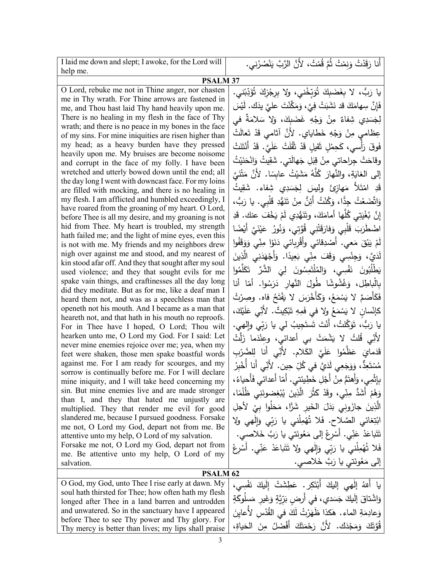| <b>PSALM 37</b><br>O Lord, rebuke me not in Thine anger, nor chasten<br>me in Thy wrath. For Thine arrows are fastened in<br>me, and Thou hast laid Thy hand heavily upon me.<br>There is no healing in my flesh in the face of Thy<br>wrath; and there is no peace in my bones in the face<br>of my sins. For mine iniquities are risen higher than<br>my head; as a heavy burden have they pressed<br>heavily upon me. My bruises are become noisome<br>and corrupt in the face of my folly. I have been<br>wretched and utterly bowed down until the end; all<br>the day long I went with downcast face. For my loins<br>are filled with mocking, and there is no healing in<br>my flesh. I am afflicted and humbled exceedingly, I<br>have roared from the groaning of my heart. O Lord,<br>before Thee is all my desire, and my groaning is not<br>hid from Thee. My heart is troubled, my strength<br>hath failed me; and the light of mine eyes, even this<br>is not with me. My friends and my neighbors drew<br>nigh over against me and stood, and my nearest of<br>kin stood afar off. And they that sought after my soul<br>used violence; and they that sought evils for me<br>spake vain things, and craftinesses all the day long<br>did they meditate. But as for me, like a deaf man I<br>heard them not, and was as a speechless man that<br>openeth not his mouth. And I became as a man that<br>heareth not, and that hath in his mouth no reproofs.<br>For in Thee have I hoped, O Lord; Thou wilt<br>hearken unto me, O Lord my God. For I said: Let<br>never mine enemies rejoice over me; yea, when my<br>feet were shaken, those men spake boastful words<br>against me. For I am ready for scourges, and my<br>sorrow is continually before me. For I will declare<br>mine iniquity, and I will take heed concerning my<br>sin. But mine enemies live and are made stronger<br>than I, and they that hated me unjustly are<br>multiplied. They that render me evil for good<br>slandered me, because I pursued goodness. Forsake<br>me not, O Lord my God, depart not from me. Be<br>attentive unto my help, O Lord of my salvation.<br>Forsake me not, O Lord my God, depart not from<br>me. Be attentive unto my help, O Lord of my<br>إلى مَعُونَتي يا رَبَّ خَلاصي.<br>salvation.<br><b>PSALM 62</b><br>O God, my God, unto Thee I rise early at dawn. My<br>soul hath thirsted for Thee; how often hath my flesh<br>longed after Thee in a land barren and untrodden<br>and unwatered. So in the sanctuary have I appeared<br>before Thee to see Thy power and Thy glory. For | I laid me down and slept; I awoke, for the Lord will | أَنا رَقَدْتُ وَنِمْتُ ثُمَّ قُمْتُ، لأَنَّ الرَّبَّ يَنْصُرُني.                                                                                                                                                                                                                                                                                                                                                                                                                                                                                                                                                                                                                                                                                                                                                                                                                                                                                                                                                                                                                                                                                                                                                                                                                                                                                                       |  |  |  |
|--------------------------------------------------------------------------------------------------------------------------------------------------------------------------------------------------------------------------------------------------------------------------------------------------------------------------------------------------------------------------------------------------------------------------------------------------------------------------------------------------------------------------------------------------------------------------------------------------------------------------------------------------------------------------------------------------------------------------------------------------------------------------------------------------------------------------------------------------------------------------------------------------------------------------------------------------------------------------------------------------------------------------------------------------------------------------------------------------------------------------------------------------------------------------------------------------------------------------------------------------------------------------------------------------------------------------------------------------------------------------------------------------------------------------------------------------------------------------------------------------------------------------------------------------------------------------------------------------------------------------------------------------------------------------------------------------------------------------------------------------------------------------------------------------------------------------------------------------------------------------------------------------------------------------------------------------------------------------------------------------------------------------------------------------------------------------------------------------------------------------------------------------------------------------------------------------------------------------------------------------------------------------------------------------------------------------------------------------------------------------------------------------------------------------------------------------------------------------------------------------------------------------------------------------------------------------------------------------------------|------------------------------------------------------|------------------------------------------------------------------------------------------------------------------------------------------------------------------------------------------------------------------------------------------------------------------------------------------------------------------------------------------------------------------------------------------------------------------------------------------------------------------------------------------------------------------------------------------------------------------------------------------------------------------------------------------------------------------------------------------------------------------------------------------------------------------------------------------------------------------------------------------------------------------------------------------------------------------------------------------------------------------------------------------------------------------------------------------------------------------------------------------------------------------------------------------------------------------------------------------------------------------------------------------------------------------------------------------------------------------------------------------------------------------------|--|--|--|
|                                                                                                                                                                                                                                                                                                                                                                                                                                                                                                                                                                                                                                                                                                                                                                                                                                                                                                                                                                                                                                                                                                                                                                                                                                                                                                                                                                                                                                                                                                                                                                                                                                                                                                                                                                                                                                                                                                                                                                                                                                                                                                                                                                                                                                                                                                                                                                                                                                                                                                                                                                                                              |                                                      |                                                                                                                                                                                                                                                                                                                                                                                                                                                                                                                                                                                                                                                                                                                                                                                                                                                                                                                                                                                                                                                                                                                                                                                                                                                                                                                                                                        |  |  |  |
|                                                                                                                                                                                                                                                                                                                                                                                                                                                                                                                                                                                                                                                                                                                                                                                                                                                                                                                                                                                                                                                                                                                                                                                                                                                                                                                                                                                                                                                                                                                                                                                                                                                                                                                                                                                                                                                                                                                                                                                                                                                                                                                                                                                                                                                                                                                                                                                                                                                                                                                                                                                                              | help me.                                             | يا رَبٌ، لا بِغَضَبِكَ تُوَبِّخْني، ولا بِرِجْزِكَ تُؤَدِّبْني.<br>فَإِنَّ سِهامَكَ قد نَشَبَتْ فِيَّ، وَمَكَّنْتَ عليَّ يذَك. لَيْسَ<br>لِجَسَدِي شِفاءٌ مِنْ وَجْهِ غَضَبِكَ، وَلا سَلامَةٌ في<br>عِظامي مِنْ وَجْهِ خَطاياي. لأَنَّ آثامي قَدْ تَعالَتْ<br>فَوقَ رَأْسي، كَحِمْلٍ ثَقيلٍ قَدْ ثَقُلَتْ عَلَيَّ. قَدْ أَنْتَنَتْ<br>وقاحَتْ جِراحاتي مِنْ قِبَلِ جَهالَتي. شَقِيتُ وَانْحَنَيْتُ<br>إلى الغايَةِ، والنَّهارَ كُلَّهُ مَشَيْتُ عابِسًا. لأنَّ مَتْنَيَّ<br>قَدِ امْتَلاً مَهازِئَ وليسَ لِجَسَدِي شِفاء. شَقِيتُ<br>وَاتَّضَعْتُ جِدًّا، وَكُنْتُ أَئِنُّ مِنْ تَنَهُّدِ قَلْبِي. يا رَبُّ،<br>إِنَّ بُغْيَتِي كُلُّها أَمامَكَ، وتَنَهُّدِي لَمْ يَخْفَ عنك. قَدِ<br>اضْطَرَبَ قَلْبِي وَفارَقَتْنِي قُوَّتِي، وَنُورُ عَيْنَيَّ أَيْضًا<br>لَمْ يَبْقَ مَعي. أَصْدِقَائي وأَقْرِبائي دَنَوْا مِنِّي وَوَقَفُوا<br>لَدَيَّ، وَجِنْسِي وَقَفَ مِنِّي بَعِيدًا. وَأَجْهَدَنِي الَّذِينَ<br>يَطْلُبُونَ نَفْسِي، وَالمُلْتَمِسُونَ لِيَ الشَّرَّ تَكَلَّمُوا<br>بِالْباطِل، وَغُشُوشًا طُولَ النَّهار دَرَسُوا. أمّا أنا<br>فَكَأَصَمَّ لا يَسْمَعُ، وَكَأَخْرَسَ لا يَفْتَحُ فاه. وصِرْتُ<br>كَإِنْسانِ لا يَسْمَعُ ولا في فَمِهِ تَبْكِيتٌ. لأنِّي عَلَيْكَ،<br>يا رَبُّ، تَوَكَّلتُ، أَنْتَ تَستَجِيبُ لي يا رَبِّي وإِلهي.<br>لأَنِّي قُلتُ لا يَشْمَتْ بي أعدائي، وعِنْدَما زَلَّتْ<br>قَدَمايَ عَظَّمُوا عَلَيَّ الكَلام. لأَنِّي أَنا لِلضَّرْبِ |  |  |  |
|                                                                                                                                                                                                                                                                                                                                                                                                                                                                                                                                                                                                                                                                                                                                                                                                                                                                                                                                                                                                                                                                                                                                                                                                                                                                                                                                                                                                                                                                                                                                                                                                                                                                                                                                                                                                                                                                                                                                                                                                                                                                                                                                                                                                                                                                                                                                                                                                                                                                                                                                                                                                              |                                                      | مُسْتَعِدٌّ ، وَوَجَعِي لَدَيَّ في كُلِّ حِين. لأَنِّي أَنا أَخْبِرُ<br>بِإِثْمِي، وَأَهتَمُّ مِنْ أَجْلِ خَطِيئتي. أَمّا أَعدائي فَأَحياءُ،<br>وَهُمْ أَشَدُّ مِنِّي، وقَدْ كَثُرَ الَّذِينَ يُبْغِضونَنِي ظُلْمًا،<br>الَّذِينَ جازَوني بَدَلَ الْخَيرِ شَرًّا، مَحَلُوا بيْ لأجلِ<br>ابْتِغائي الصَّلاح. فَلا تُهْمِلْني يا رَبِّي وَإِلْهِي ولا<br>تَتَباعَدْ عَنِّي. أَسْرِعْ إِلَى مَعُونَتي يا رَبَّ خَلاصي.<br>فَلا تُهْمِلْني يا رَبِّي وَإِلْهِي ولا تَتَباعَدْ عَنِّي. أَسْرِعْ                                                                                                                                                                                                                                                                                                                                                                                                                                                                                                                                                                                                                                                                                                                                                                                                                                                                             |  |  |  |
|                                                                                                                                                                                                                                                                                                                                                                                                                                                                                                                                                                                                                                                                                                                                                                                                                                                                                                                                                                                                                                                                                                                                                                                                                                                                                                                                                                                                                                                                                                                                                                                                                                                                                                                                                                                                                                                                                                                                                                                                                                                                                                                                                                                                                                                                                                                                                                                                                                                                                                                                                                                                              |                                                      |                                                                                                                                                                                                                                                                                                                                                                                                                                                                                                                                                                                                                                                                                                                                                                                                                                                                                                                                                                                                                                                                                                                                                                                                                                                                                                                                                                        |  |  |  |
|                                                                                                                                                                                                                                                                                                                                                                                                                                                                                                                                                                                                                                                                                                                                                                                                                                                                                                                                                                                                                                                                                                                                                                                                                                                                                                                                                                                                                                                                                                                                                                                                                                                                                                                                                                                                                                                                                                                                                                                                                                                                                                                                                                                                                                                                                                                                                                                                                                                                                                                                                                                                              |                                                      |                                                                                                                                                                                                                                                                                                                                                                                                                                                                                                                                                                                                                                                                                                                                                                                                                                                                                                                                                                                                                                                                                                                                                                                                                                                                                                                                                                        |  |  |  |
|                                                                                                                                                                                                                                                                                                                                                                                                                                                                                                                                                                                                                                                                                                                                                                                                                                                                                                                                                                                                                                                                                                                                                                                                                                                                                                                                                                                                                                                                                                                                                                                                                                                                                                                                                                                                                                                                                                                                                                                                                                                                                                                                                                                                                                                                                                                                                                                                                                                                                                                                                                                                              | Thy mercy is better than lives; my lips shall praise | يا أللهُ إلْهِي إليكَ أَبْتَكِرٍ. عَطِشَتْ إِلَيكَ نَفْسِي،<br>وَاشْتَاقَ إِلَيْكَ جَسَدي، في أُرضِ بَرِّيَّةٍ وَغَيرِ مَسلُوكَةٍ<br>وَعادِمَةِ الماء . هٰكذا ظَهَرْتُ لَكَ في القُدْسِ لأَعاينَ<br>قُوَّتَكَ وَمَجْدَك. لأَنَّ رَحْمَتَكَ أَفْضَلُ مِنَ الْحَياةِ،                                                                                                                                                                                                                                                                                                                                                                                                                                                                                                                                                                                                                                                                                                                                                                                                                                                                                                                                                                                                                                                                                                    |  |  |  |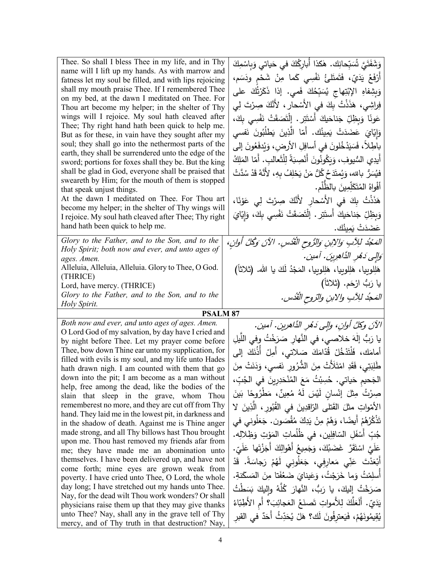| Thee. So shall I bless Thee in my life, and in Thy                                                       | وَشَفَتَيَّ شَبِّحانِك. هٰكذا أبارِكُكَ في حَياتي وَبِاسْمِكَ               |
|----------------------------------------------------------------------------------------------------------|-----------------------------------------------------------------------------|
| name will I lift up my hands. As with marrow and                                                         |                                                                             |
| fatness let my soul be filled, and with lips rejoicing                                                   | أَرْفَعُ يَدَيّ، فَتَمتَلئُ نَفْسِي كَما مِنْ شَحْمٍ ودَسَم،                |
| shall my mouth praise Thee. If I remembered Thee                                                         | وَبِشِفاهِ الإِبْتِهاجِ يُسَبِّحُكَ فَمي. إذا ذَكَرْتُكَ على                |
| on my bed, at the dawn I meditated on Thee. For<br>Thou art become my helper; in the shelter of Thy      | فِراشِي، هَذَذْتُ بِكَ في الأَسْحارِ ، لأَنَّكَ صِرْتَ لِي                  |
| wings will I rejoice. My soul hath cleaved after                                                         |                                                                             |
| Thee; Thy right hand hath been quick to help me.                                                         | عَونًا وَبِظِلِّ جَناحَيكَ أَسْتَتِرٍ . إِلْتَصَقَتْ نَفْسِي بِكَ،          |
| But as for these, in vain have they sought after my                                                      | وَإِيّايَ عَضَدَتْ يَمِينُك. أَمّا الَّذِينَ يَطْلُبُونَ نَفسى              |
| soul; they shall go into the nethermost parts of the                                                     | باطِلاً، فَسَيَدْخُلونَ في أسافِلِ الأرضِ، وَيُدفَعُونَ إلى                 |
| earth, they shall be surrendered unto the edge of the                                                    |                                                                             |
| sword; portions for foxes shall they be. But the king                                                    | أيدِي السُّيوفِ، وَيَكُونُونَ أَنْصِبَةً لِلْثَعالبِ. أمّا المَلِكُ         |
| shall be glad in God, everyone shall be praised that                                                     | فيُسَرُّ بالله، وَيُمتَدَحُ كُلُّ مَنْ يَحْلِفُ بِهِ، لأَنَّهُ قَدْ سُدَّتْ |
| sweareth by Him; for the mouth of them is stopped<br>that speak unjust things.                           | أَفْواهُ الْمُتَكَلِّمِينَ بِالظَّلْمِ.                                     |
| At the dawn I meditated on Thee. For Thou art                                                            | هَذَنْتُ بِكَ في الأَسْحارِ لأَنَّكَ صِرْتَ لِى عَوْنًا،                    |
| become my helper; in the shelter of Thy wings will                                                       |                                                                             |
| I rejoice. My soul hath cleaved after Thee; Thy right                                                    | وَبِظِلِّ جَناحَيكَ أَستَتِر . الْتَصَقَتْ نَفْسِي بِكَ، وَإِيّايَ          |
| hand hath been quick to help me.                                                                         | عَضَدَتْ يَمِيثُك.                                                          |
| Glory to the Father, and to the Son, and to the                                                          | المَجْدُ للِآبِ وَالِإِبْنِ وَالرُّوحِ الْقُدْسِ. الآنَ وَكُلَّ أَوَانِ،    |
| Holy Spirit; both now and ever, and unto ages of                                                         |                                                                             |
| ages. Amen.                                                                                              | وَإِلِي دَهْرِ الذَّاهِرِينَ. آمين.                                         |
| Alleluia, Alleluia, Alleluia. Glory to Thee, O God.<br>(THRICE)                                          | هَلِلوبِيا، هَلِلوبِيا، هَلِلوبِيا، المَجْدُ لَكَ يا الله. (ثلاثاً)         |
| Lord, have mercy. (THRICE)                                                                               | يا رَبُّ ارْحَم. (ثلاثاً)                                                   |
|                                                                                                          |                                                                             |
|                                                                                                          |                                                                             |
| Glory to the Father, and to the Son, and to the<br>Holy Spirit.                                          | المَحِدُ للِآبِ والابنِ والرّوحِ الْقُدُسِ.                                 |
| <b>PSALM 87</b>                                                                                          |                                                                             |
| Both now and ever, and unto ages of ages. Amen.                                                          |                                                                             |
| O Lord God of my salvation, by day have I cried and                                                      | الآنَ وكلَّ أُوانٍ، وإلى دَهْرِ الدَّاهرينِ. آمين.                          |
| by night before Thee. Let my prayer come before                                                          | يا رَبُّ إِلٰهَ خلاصي، في النَّهارِ صَرَخْتُ وفي اللَّيلِ                   |
| Thee, bow down Thine ear unto my supplication, for                                                       | أمامَك، فَلْتَدْخُلْ قُدّامَكَ صَلاتى، أُمِلْ أَذُنَكَ إلى                  |
| filled with evils is my soul, and my life unto Hades<br>hath drawn nigh. I am counted with them that go  | طَٰلِبَتِي، فَقَدِ امْتَلَأَتْ مِنَ الشُّرُورِ نَفسي، وَدَنَتْ مِنَ         |
| down into the pit; I am become as a man without                                                          |                                                                             |
| help, free among the dead, like the bodies of the                                                        | الجَحيم حَياتي. حُسِبْتُ مَعَ المُنْحَدِرِينَ في الجُبِّ،                   |
| slain that sleep in the grave, whom Thou                                                                 | صِرْتُ مِثْلَ إِنْسانٍ لَيْسَ لَهُ مُعِينٌ، مَطْرُوحًا بَينَ                |
| rememberest no more, and they are cut off from Thy                                                       | الأَمْواتِ مثلَ القَتلى الرّاقدِينَ في القُبُورِ ، الَّذِينَ لا             |
| hand. They laid me in the lowest pit, in darkness and                                                    |                                                                             |
| in the shadow of death. Against me is Thine anger                                                        | تَذْكُرُهُمْ أَيضًا، وَهُمْ مِنْ يَدِكَ مُقْصَون. جَعَلُوني في              |
| made strong, and all Thy billows hast Thou brought<br>upon me. Thou hast removed my friends afar from    | جُبِّ أَسْفَلِ السّافِلِينِ، في ظُلُماتِ المَوْتِ وَظِلالِهِ.               |
| me; they have made me an abomination unto                                                                | عَلَيَّ اسْتَقَرَّ غَضَبُكَ، وَجَمِيعُ أَهْوالِكَ أَجَزْتَها عَلَيِّ.       |
| themselves. I have been delivered up, and have not                                                       | أَبْعَدْتَ عَنِّي مَعارِفِي، جَعَلُونِي لَهُمْ رَجاسَةً. قَدْ               |
| come forth; mine eyes are grown weak from                                                                |                                                                             |
| poverty. I have cried unto Thee, O Lord, the whole                                                       | أَسلِمْتُ وَما خَرَجْتُ، وَعَينايَ ضَعُفَتا مِنَ المَسكَنةِ.                |
| day long; I have stretched out my hands unto Thee.                                                       | صَرَخْتُ إِلَيْكَ، يا رَبُّ، النَّهارَ كُلَّهُ واليكَ بَسَطْتُ              |
| Nay, for the dead wilt Thou work wonders? Or shall                                                       | يَدَيِّ. أَلَعَلَّكَ لِلأَمواتِ تَصنَعُ العَجائِبَ؟ أم الأَطِبّاءُ          |
| physicians raise them up that they may give thanks<br>unto Thee? Nay, shall any in the grave tell of Thy | يُقِيمُونَهُمْ، فَيَعترفُونَ لَك؟ هَلْ يُحَدِّثُ أَحَدٌ في القبر            |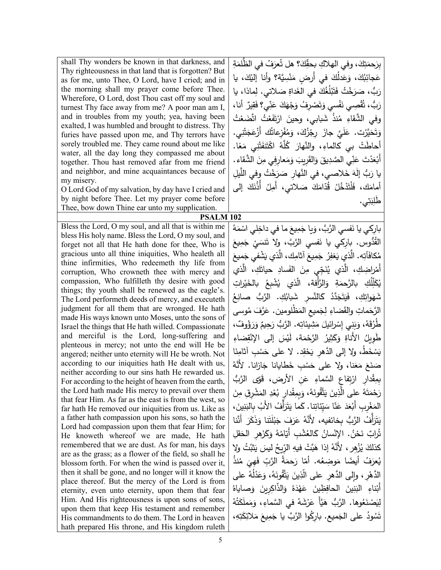| shall Thy wonders be known in that darkness, and                                                             | بِرَحمَتِكَ، وفي الهلاكِ بحقِّكَ؟ هل تُعرَفُ في الظَّلمَةِ                   |
|--------------------------------------------------------------------------------------------------------------|------------------------------------------------------------------------------|
| Thy righteousness in that land that is forgotten? But                                                        | عَجائِبُكَ، وَعَدلُكَ في أرضِ مَنْسِيَّة؟ وأنا إليْكَ، يا                    |
| as for me, unto Thee, O Lord, have I cried; and in                                                           |                                                                              |
| the morning shall my prayer come before Thee.<br>Wherefore, O Lord, dost Thou cast off my soul and           | رَبُّ، صَرَخْتُ فَتَبْلُغُكَ في الغَداةِ صَلاتي. لِماذا، يا                  |
| turnest Thy face away from me? A poor man am I,                                                              | رَبُّ، تُقْصِي نَفْسي وَتَصْرِفُ وَجْهَكَ عَنِّي؟ فَقِيرٌ أَنا،              |
| and in troubles from my youth; yea, having been                                                              | وفي الشَّقاءِ مُنذُ شَبابي، وحينَ ارْتَفَعْتُ اتَّضَعْتُ                     |
| exalted, I was humbled and brought to distress. Thy                                                          | وَتَحَيَّرْت. عَلَيَّ جازَ رِجْزُكَ، وَمُفْزعاتُك أَزْعَجَتْنِي.             |
| furies have passed upon me, and Thy terrors have                                                             |                                                                              |
| sorely troubled me. They came round about me like<br>water, all the day long they compassed me about         | أَحاطَتْ بي كالماءِ، والنَّهارَ كُلَّهُ اكْتَنفَتْنِي مَعًا.                 |
| together. Thou hast removed afar from me friend                                                              | أَبْعَدْتَ عَنِّي الصَّدِيقَ وَالقَرِيبَ وَمَعارِفِي مِنَ الشَّقاءِ .        |
| and neighbor, and mine acquaintances because of                                                              |                                                                              |
| my misery.                                                                                                   | يا رَبُّ إِلٰهَ خَلاصي، في النَّهارِ صَرَخْتُ وفي اللَّيلِ                   |
| O Lord God of my salvation, by day have I cried and                                                          | أمامَكَ، فَلْتَذْخُلْ قُدّامَكَ صَلاتي، أَمِلْ أَذُنَكَ إلى                  |
| by night before Thee. Let my prayer come before                                                              | طلِبَتِي.                                                                    |
| Thee, bow down Thine ear unto my supplication.                                                               |                                                                              |
| PSALM <sub>102</sub>                                                                                         |                                                                              |
| Bless the Lord, O my soul, and all that is within me                                                         | بارِكي يا نَفسي الرَّبَّ، وَيا جَمِيعَ ما في داخِلي اسْمَهُ                  |
| bless His holy name. Bless the Lord, O my soul, and<br>forget not all that He hath done for thee, Who is     | القَدُّوس. بارِكي يا نَفسي الزَّبَّ، ولا تَنسَيْ جَمِيعَ                     |
| gracious unto all thine iniquities, Who healeth all                                                          | مُكافَآتِه. الَّذي يَغفِرُ جَمِيعَ آثامِك، الَّذي يَشْفي جَميعَ              |
| thine infirmities, Who redeemeth thy life from                                                               |                                                                              |
| corruption, Who crowneth thee with mercy and                                                                 | أَمْراضِكِ، الَّذي يُنَجِّي مِنَ الفَسادِ حياتَكِ، الَّذي                    |
| compassion, Who fulfilleth thy desire with good                                                              | يُكَلِّلَكِ   بالرَّحمَةِ   وَالرَّأفة،    الَّذي    يُشْبِعُ   بالخَيْراتِ  |
| things; thy youth shall be renewed as the eagle's.                                                           |                                                                              |
| The Lord performeth deeds of mercy, and executeth                                                            | شَهَواتِكِ، فَيَتَجَدَّدُ كَالنَّسرِ شَبابُكِ. الرَّبُّ صانِعُ               |
| judgment for all them that are wronged. He hath                                                              | الرَّحَماتِ والقَضاءِ لِجَميعِ المَظْلومينِ. عَرَّفَ مُوسى                   |
| made His ways known unto Moses, unto the sons of                                                             | طَرُقَهُ، وَبَنِي إِسْرائيلَ مَشِيئاتِه. الرَّبُّ رَحِيمٌ وَرَؤُوفٌ،         |
| Israel the things that He hath willed. Compassionate<br>and merciful is the Lord, long-suffering and         |                                                                              |
| plenteous in mercy; not unto the end will He be                                                              | طَوِيلُ الأَناةِ وَكَثِيرُ الرَّحْمَة، لَيْسَ إِلَى الإِنْقِضاءِ             |
| angered; neither unto eternity will He be wroth. Not                                                         | يَسْخَطُ، ولا إلى الدَّهر يَحْقِد. لا على حَسْبِ آثامِنَا                    |
| according to our iniquities hath He dealt with us,                                                           | صَنَعَ مَعَنا، ولا على حَسْبِ خَطايانا جَازانا. لأنَّهُ                      |
| neither according to our sins hath He rewarded us.                                                           | بِمِقْدارِ ارْتِفاعِ السَّماءِ عَنِ الأرض، قَوَّى الرَّبُ                    |
| For according to the height of heaven from the earth,<br>the Lord hath made His mercy to prevail over them   |                                                                              |
| that fear Him. As far as the east is from the west, so                                                       | رَحْمَتَهُ على الَّذِينَ يَتَّقُونَهُ، وَبِمِقْدارِ بُعْدِ المَشْرِقِ مِنَ   |
| far hath He removed our iniquities from us. Like as                                                          | المَغْربِ أَبْعَدَ عَنَّا سَيِّئَاتِنا. كَما يَتَرَأَفُ الأَبُ بِالْبَنِينَ، |
| a father hath compassion upon his sons, so hath the                                                          | يَتَزَأْفُ الرَّبُّ بخائفيه، لأَنَّهُ عَرَفَ جَبْلَتَنا وَذَكَرَ أَنَّنا     |
| Lord had compassion upon them that fear Him; for                                                             | تُرابٌ نَحْنُ. الإِنْسانُ كَالغُشْبِ أَيّامُهُ وَكَزَهِرِ الْحَقْلِ          |
| He knoweth whereof we are made, He hath                                                                      |                                                                              |
| remembered that we are dust. As for man, his days<br>are as the grass; as a flower of the field, so shall he | كذلكَ يُزْهِرٍ ، لأَنَّهُ إذا هَبَّتْ فيهِ الرِّبحُ ليسَ يَثْبُتُ ولا        |
| blossom forth. For when the wind is passed over it,                                                          | يُعرَفُ أيضًا مَوضِعُه. أمّا رَحمَةُ الرَّبِّ فَهِيَ مُنذُ                   |
| then it shall be gone, and no longer will it know the                                                        | الدَّهْرِ ، وإلى الدَّهرِ على الَّذِينَ يَتَّقُونَهُ، وَعَدْلُهُ على         |
| place thereof. But the mercy of the Lord is from                                                             |                                                                              |
| eternity, even unto eternity, upon them that fear                                                            | أَبْناءِ الْبَنِينَ الْحَافِظِينَ عَهْدَهُ وَالذَّاكِرِينَ وَصاياهُ          |
| Him. And His righteousness is upon sons of sons,                                                             | لِيَصْنَعُوها. الرَّبُّ هَيَّأَ عَرْشَهُ فـى السَّماءِ، وَمَملَكَتُهُ        |
| upon them that keep His testament and remember                                                               |                                                                              |
| His commandments to do them. The Lord in heaven                                                              | تَسُودُ على الجَميع. باركُوا الرَّبَّ يا جَمِيعَ مَلائِكَتِهِ،               |
| hath prepared His throne, and His kingdom ruleth                                                             |                                                                              |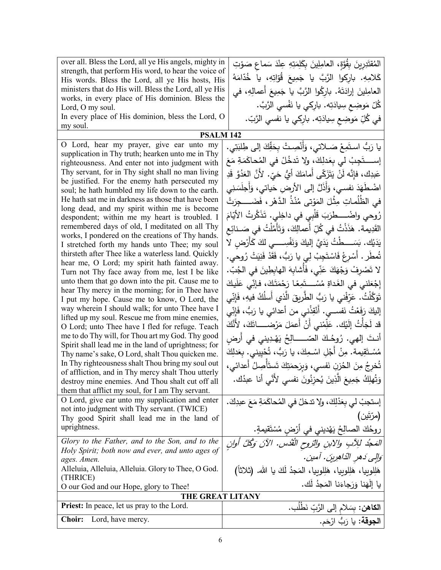| over all. Bless the Lord, all ye His angels, mighty in                                                    | المُقتَدِرِينَ بِقُوَّةٍ، العامِلِينَ بِكَلِمَتِهِ عِنْدَ سَماعٍ صَوْتِ       |
|-----------------------------------------------------------------------------------------------------------|-------------------------------------------------------------------------------|
| strength, that perform His word, to hear the voice of<br>His words. Bless the Lord, all ye His hosts, His | كَلامِهِ. باركوا الرَّبَّ يا جَمِيعَ قُوّاتِهِ، يا خُدّامَهُ                  |
| ministers that do His will. Bless the Lord, all ye His                                                    | العامِلينَ إرادَتَهُ. باركُوا الرَّبَّ يا جَمِيعَ أعمالِهِ، في                |
| works, in every place of His dominion. Bless the                                                          | ݣُلّ مَوضِع سِيادَتِه. بارِكي يا نَفْسي الرَّبَّ.                             |
| Lord, O my soul.<br>In every place of His dominion, bless the Lord, O                                     |                                                                               |
| my soul.                                                                                                  | في كُلِّ مَوضِعٍ سِيادَتِه. بارِكي يا نفسي الرَّبّ.                           |
| <b>PSALM 142</b>                                                                                          |                                                                               |
| O Lord, hear my prayer, give ear unto my                                                                  | يا رَبُّ استَمِعْ صَـلاتي، وَأَنْصِـتْ بِحَقِّكَ إلى طِلبَتِي.                |
| supplication in Thy truth; hearken unto me in Thy<br>righteousness. And enter not into judgment with      | إســــــتَجِبْ لـى بعَدلِكَ، ولا تَدخُلْ فـى المُحاكَمَةِ مَعَ                |
| Thy servant, for in Thy sight shall no man living                                                         | عَبدِك، فإِنَّه لَنْ يَتَزَكَّى أَمامَكَ أَيُّ حَيّ. لأَنَّ العَدُوَّ قَدِ    |
| be justified. For the enemy hath persecuted my                                                            |                                                                               |
| soul; he hath humbled my life down to the earth.                                                          | اضْطَهَدَ نفسي، وَأَذَلَّ إلى الأرضِ حَياتي، وَأَجلَسَنِي                     |
| He hath sat me in darkness as those that have been<br>long dead, and my spirit within me is become        | في الظُلُماتِ مِثْلَ المَوْتي مُنْذُ الدَّهْرِ ، فَضَــــجِرَتْ               |
| despondent; within me my heart is troubled. I                                                             | رُوحي واضْـــــطرَبَ قَلْبِي في داخِلي. تَذَكَّرتُ الأَيّامَ                  |
| remembered days of old, I meditated on all Thy                                                            | القَدِيمة. هَذَذْتُ في كُلِّ أعمالِكَ، وَتَأَمَّلْتُ في صَــنائِع             |
| works, I pondered on the creations of Thy hands.<br>I stretched forth my hands unto Thee; my soul         | يَدَيْك. بَسَــــطْتُ يَدَيَّ إِلَيكَ وَنَفْسِـــــى لكَ كَأَرْض لا           |
| thirsteth after Thee like a waterless land. Quickly                                                       | تُمطَر . أَسْرِعْ فَاسْتَجِبْ لِي يا رَبُّ، فَقَدْ فَنِيَتْ رُوحي.            |
| hear me, O Lord; my spirit hath fainted away.                                                             |                                                                               |
| Turn not Thy face away from me, lest I be like                                                            | لا تَصْرِفْ وَجْهَكَ عَنِّي، فَأَشابِهَ الهابِطِينَ في الْجُبّ.               |
| unto them that go down into the pit. Cause me to<br>hear Thy mercy in the morning; for in Thee have       | إِجْعَلْنِي فِي الْغَداةِ مُسْـــتَمِعًا رَحْمَتَكَ، فإنِّي عَلَيكَ           |
| I put my hope. Cause me to know, O Lord, the                                                              | تَوَكَّلْتُ. عَرِّفْني يا رَبُّ الطَّرِيقَ الَّذي أسلُكُ فيهِ، فَإِنِّي       |
| way wherein I should walk; for unto Thee have I                                                           | إليكَ رَفَعْتُ نَفســي. أَنْقِذْنـي من أعدائـي يا رَبُّ، فَإِنِّي             |
| lifted up my soul. Rescue me from mine enemies,<br>O Lord; unto Thee have I fled for refuge. Teach        | قد لَجَأْتُ إِلَيْك. عَلِّمْني أَنْ أَعمَلَ مَرْضـــــاتَكَ، لأَنَّكَ         |
| me to do Thy will, for Thou art my God. Thy good                                                          | أنتَ إلهي. رُوحُكَ الصّـــــالِحُ يَهْدِيني في أرض                            |
| Spirit shall lead me in the land of uprightness; for                                                      |                                                                               |
| Thy name's sake, O Lord, shalt Thou quicken me.                                                           | مُسْـتَقِيمة. مِنْ أَجْلِ اسْـمِكَ، يا رَبُّ، تُحْيِيني. بِعَدلِكَ            |
| In Thy righteousness shalt Thou bring my soul out<br>of affliction, and in Thy mercy shalt Thou utterly   | تُخرِجُ مِنَ الحُزنِ نَفسي، وَبِرَحمَتِكَ تَستَأْصِلُ أعدائي،                 |
| destroy mine enemies. And Thou shalt cut off all                                                          | وَتُهلِكُ جَمِيعَ الَّذِينَ يُحزِنُونَ نفسي لأُنَّى أنا عبدُك.                |
| them that afflict my soul, for I am Thy servant.                                                          |                                                                               |
| O Lord, give ear unto my supplication and enter<br>not into judgment with Thy servant. (TWICE)            | إستجبْ لي بعَدْلِكَ، ولا تدخلْ في المُحاكَمَةِ مَعَ عبدِكَ.                   |
| Thy good Spirit shall lead me in the land of                                                              | (مرّتَين)                                                                     |
| uprightness.                                                                                              | روحُكَ الصالِحُ يَهْديني في أرْضٍ مُسْتَقيمةٍ.<br>منصوب المسالِحُ يَهْديني في |
| Glory to the Father, and to the Son, and to the                                                           | المَجْدُ للِآبِ ولِابنِ والتروحِ الْقُدُسِ. الآنَ وَكُلَّ أُولِنِ             |
| Holy Spirit; both now and ever, and unto ages of                                                          | وَالِّي دَهر الدَّاهِرِينَ. آمين.                                             |
| ages. Amen.<br>Alleluia, Alleluia, Alleluia. Glory to Thee, O God.                                        |                                                                               |
| (THRICE)                                                                                                  | هَلِلوبِيا، هَلِلوبِيا، هَلِلوبِيا، المَجدُ لَكَ يا الله. (ثلاثاً)            |
| O our God and our Hope, glory to Thee!                                                                    | يا إِلْهَنا وَرَجاءَنا المَجدُ لَك.                                           |
| THE GREAT LITANY                                                                                          |                                                                               |
| <b>Priest:</b> In peace, let us pray to the Lord.                                                         | ا <b>لكاهن:</b> بِسَلام إلى الرَّبِّ نَطْلَب.                                 |
| <b>Choir:</b><br>Lord, have mercy.                                                                        | ا <b>لجوقة:</b> يا رَبُّ ارْحَم.                                              |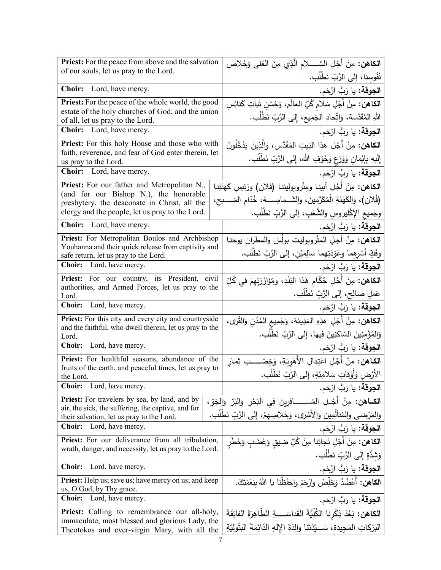| <b>Priest:</b> For the peace from above and the salvation                                                       | ا <b>لكاهن:</b> مِنْ أَجْلِ السَّـــــلام الَّذِي مِنَ العُلى وَخَلاصِ                  |  |  |
|-----------------------------------------------------------------------------------------------------------------|-----------------------------------------------------------------------------------------|--|--|
| of our souls, let us pray to the Lord.                                                                          | نُفُوسِنا، إِلى الرَّبِّ نَطْلُب.                                                       |  |  |
| Choir: Lord, have mercy.                                                                                        | ا <b>لجوقة:</b> يا رَبُّ ارْحَم.                                                        |  |  |
| Priest: For the peace of the whole world, the good                                                              | <b>الكاهن:</b> مِنْ أَجْلِ سَلام كُلِّ العالَم، وَحُسْن شَاتِ كَنائِسِ                  |  |  |
| estate of the holy churches of God, and the union<br>of all, let us pray to the Lord.                           | اللهِ المُقَدَّسة، وَاتِّحادِ الجَمِيعِ، إِلى الرَّبِّ نَطْلُبٍ.                        |  |  |
| Choir: Lord, have mercy.                                                                                        | ا <b>لجوقة:</b> يا رَبُّ ارْحَم.                                                        |  |  |
| Priest: For this holy House and those who with                                                                  | ا <b>لكاهن:</b> مِنْ أَجْلِ هذا البَيتِ المُقَدَّسِ، وَالَّذِينَ يَدْخُلُونَ            |  |  |
| faith, reverence, and fear of God enter therein, let<br>us pray to the Lord.                                    | إِلَيهِ بِإِيْمانِ وَوَرَعٍ وَخَوْفِ الله، إِلى الرَّبِّ نَطْلُب.                       |  |  |
| <b>Choir:</b> Lord, have mercy.                                                                                 | ا <b>لجوقة:</b> يا رَبُّ ارْحَم.                                                        |  |  |
| Priest: For our father and Metropolitan N.,                                                                     | ا <b>لكاهن:</b> مِنْ أَجْلِ أبينا ومِتْروبوليتنا (فلان) ورَئيسِ كَهَنَتِنا              |  |  |
| (and for our Bishop N.), the honorable                                                                          | (فُلان)، والكَهَنَةِ الْمُكَرَّمينَ، والشَــمامِســة، خُدّام المَســيح،                 |  |  |
| presbytery, the deaconate in Christ, all the<br>clergy and the people, let us pray to the Lord.                 | وجَميعِ الإكْليروسِ والشَّعْبِ، إلى الرَّبِّ نَطْلُب.                                   |  |  |
| <b>Choir:</b> Lord, have mercy.                                                                                 | ا <b>لجوقة:</b> يا رَبُّ ارْحَم.                                                        |  |  |
| Priest: For Metropolitan Boulos and Archbishop                                                                  | الكاهن: مِنْ أجلِ المِتْروبوليت بولُسَ والمطران يوحنا                                   |  |  |
| Youhanna and their quick release from captivity and<br>safe return, let us pray to the Lord.                    | وفَكِّ أَسْرِهِما وعَوْدَتِهِما سالِمَيْن، إلى الرَّبِّ نَطْلُب.                        |  |  |
| Choir: Lord, have mercy.                                                                                        | ا <b>لجوقة:</b> يا رَبُّ ارْحَم.                                                        |  |  |
| Priest: For our country, its President, civil                                                                   | ا <b>لكاهن:</b> مِنْ أَجْلِ حُكّام هَذا البَلَدِ، ومُؤازَرَتِهِمْ في كُلِّ              |  |  |
| authorities, and Armed Forces, let us pray to the<br>Lord.                                                      | عَمَلٍ صالِحٍ، إلى الرَّبِّ نَطْلُبٍ.                                                   |  |  |
| Choir: Lord, have mercy.                                                                                        | ا <b>لجوقة:</b> يا رَبُّ ارْحَم.                                                        |  |  |
| Priest: For this city and every city and countryside<br>and the faithful, who dwell therein, let us pray to the | ا <b>لكاهن:</b> مِنْ أَجْلِ هذِهِ المَدِينَة، وَجَمِيعِ المُدُنِ وَالقُرى،              |  |  |
| Lord.                                                                                                           | وَالمُؤْمِنِينَ السّاكِنِينَ فِيها، إِلى الرَّبِّ نَطْلُب.                              |  |  |
| <b>Choir:</b><br>Lord, have mercy.                                                                              | ا <b>لجوقة:</b> يا رَبُّ ارْحَم.                                                        |  |  |
| Priest: For healthful seasons, abundance of the<br>fruits of the earth, and peaceful times, let us pray to      | ا <b>لكـاهن:</b> مِنْ أَجْلِ اعْتِدالِ الأَهْوِيَةِ، وَخِصْـــــبِ ثِمـار               |  |  |
| the Lord.                                                                                                       | الأَرْضِ وَأَوْقَاتٍ سَلامِيَّةٍ، إِلَى الرَّبِّ نَطْلُب.                               |  |  |
| Choir: Lord, have mercy.                                                                                        | ا <b>لجوقة:</b> يا رَبُّ ارْحَم.                                                        |  |  |
| Priest: For travelers by sea, by land, and by<br>air, the sick, the suffering, the captive, and for             | ا <b>لكــاهن:</b> مِنْ أَجْــلِ المُســـــــافِرِينَ فِي البَحْرِ وَالبَرِّ وَالجَوِّ ، |  |  |
| their salvation, let us pray to the Lord.                                                                       | وَالْمَرْضِي والْمُتَأْلِّمِين وَالْأَسْرِي، وَخَلاصِهِمْ، إِلَى الرَّبِّ نَطْلُب.      |  |  |
| Choir: Lord, have mercy.                                                                                        | ا <b>لجوقة:</b> يا رَبُّ ارْحَم.                                                        |  |  |
| Priest: For our deliverance from all tribulation,<br>wrath, danger, and necessity, let us pray to the Lord.     | <b>الكاهن:</b> مِنْ أَجْلِ نَجاتِنا مِنْ كُلِّ ضِيقِ وَغَضَبٍ وَخَطَرِ                  |  |  |
|                                                                                                                 | وَشِدَّةٍ إِلى الرَّبِّ نَطْلُب.                                                        |  |  |
| <b>Choir:</b><br>Lord, have mercy.                                                                              | ا <b>لجوقة:</b> يا رَبُّ ارْحَم.                                                        |  |  |
| <b>Priest:</b> Help us; save us; have mercy on us; and keep<br>us, O God, by Thy grace.                         | الكاهن: أَعْضُدْ وَخَلِّصْ وارْحَمْ واحفَظْنا يا اللهُ بِنِعْمَتِكَ.                    |  |  |
| Choir: Lord, have mercy.                                                                                        | ا <b>لجوقة:</b> يا رَبُّ ارْحَم.                                                        |  |  |
| Priest: Calling to remembrance our all-holy,                                                                    | ا <b>لكاهن:</b> بَعْدَ ذِكْرِنا الكُلِّيَّةَ القَداسَــــةِ الطَّاهِرَةَ الفائِقَةَ     |  |  |
| immaculate, most blessed and glorious Lady, the<br>Theotokos and ever-virgin Mary, with all the                 | البَرَكاتِ المَجِيدة، سَـــيّدَتَنا والِدَةَ الإِلهِ الدّائِمَةَ البَتُولِيَّةِ         |  |  |
|                                                                                                                 |                                                                                         |  |  |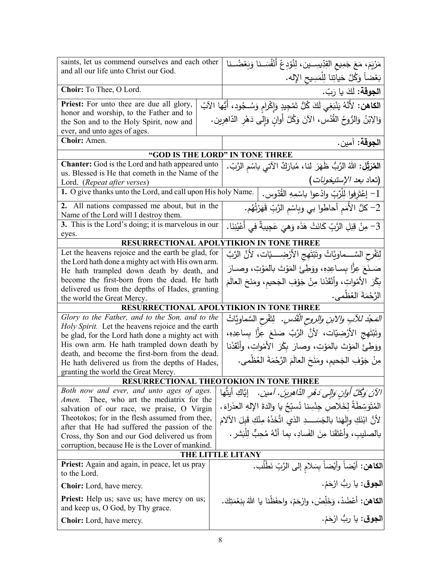| saints, let us commend ourselves and each other<br>and all our life unto Christ our God.              | مَرْيَمَ، مَعَ جَمِيعِ القِدِّيسِــين، لِنُوْدِعْ أَنْفُسَــنا وَبَعْضُــنا                  |  |  |
|-------------------------------------------------------------------------------------------------------|----------------------------------------------------------------------------------------------|--|--|
|                                                                                                       | بَعْضاً وَكُلَّ حَياتِنا لِلْمَسِيحِ الإِله.                                                 |  |  |
| Choir: To Thee, O Lord.                                                                               | ا <b>لجوقة:</b> لَكَ يا رَبّ.                                                                |  |  |
| Priest: For unto thee are due all glory,                                                              | ا <b>لكاهن:</b> لأَنَّهُ يَنْبَغِي لَكَ كُلُّ تَمْجِيدٍ وَإِكْرامٍ وَسُـجُودِ، أَيُّها الآبُ |  |  |
| honor and worship, to the Father and to<br>the Son and to the Holy Spirit, now and                    | وَالِابْنُ وَالرُّوحُ القُدُس، الآنَ وَكُلَّ أَوانٍ وَإِلَى دَهْرِ الدّاهِرِين.              |  |  |
| ever, and unto ages of ages.                                                                          |                                                                                              |  |  |
| Choir: Amen.                                                                                          | ا <b>لجوقة:</b> آمين.                                                                        |  |  |
|                                                                                                       | "GOD IS THE LORD" IN TONE THREE                                                              |  |  |
| <b>Chanter:</b> God is the Lord and hath appeared unto                                                | ا <b>لمُرَتِّل:</b> اللهُ الرَّبُّ ظَهَرَ لنا، مُبارَكٌ الآتي باسْم الرَّبّ.                 |  |  |
| us. Blessed is He that cometh in the Name of the                                                      |                                                                                              |  |  |
| Lord. (Repeat after verses)                                                                           | (تعاد <i>بعد الإستيخونات</i> )                                                               |  |  |
| 1. O give thanks unto the Lord, and call upon His holy Name.                                          | 1– إعْتَرفوا لِلْرَّبِّ وادْعوا باسْمِهِ القُدّوس.                                           |  |  |
| All nations compassed me about, but in the<br>2.<br>Name of the Lord will I destroy them.             | 2– كلُّ الأُمَمِ أَحاطُوا بي وبِاسْمِ الرَّبِّ قَهَرْتُهُم.                                  |  |  |
| 3. This is the Lord's doing; it is marvelous in our                                                   | 3– مِنْ قِبَلِ الرَّبِّ كَانَتْ هَذَه وَهيَ عَجِيبةٌ فِي أَعْيُنِنَا.                        |  |  |
| eyes.                                                                                                 | RESURRECTIONAL APOLYTIKION IN TONE THREE                                                     |  |  |
| Let the heavens rejoice and the earth be glad, for                                                    |                                                                                              |  |  |
| the Lord hath done a mighty act with His own arm.                                                     | لِتَفْرِحِ السَّــــماويَّاتُ وتَبْتَهِجِ الأَرْضِـــــيّات، لأَنَّ الرَّبَّ                 |  |  |
| He hath trampled down death by death, and                                                             | صَـنَعَ عِزًّا بِسـاعِدِهِ، ووَطِئَ المَوْتَ بالمَوْتِ، وصـارَ                               |  |  |
| become the first-born from the dead. He hath                                                          | بِكْرَ الأَمْواتِ، وأَنْقَذَنا مِنْ جَوْفِ الْجَحيمِ، ومَنَحَ الْعالَمَ                      |  |  |
| delivered us from the depths of Hades, granting                                                       | الرَّحْمَةَ العُظْمي.                                                                        |  |  |
| the world the Great Mercy.                                                                            |                                                                                              |  |  |
|                                                                                                       | RESURRECTIONAL APOLYTIKION IN TONE THREE                                                     |  |  |
| Glory to the Father, and to the Son, and to the<br>Holy Spirit. Let the heavens rejoice and the earth | <i>المَجْد للآبِ والابنِ والروحِ القُدُسِ.</i> لِتَفْرِحِ السَّماويَّاتُ                     |  |  |
| be glad, for the Lord hath done a mighty act with                                                     | وتَبْتَهِجِ الأَرْضِيّات، لأَنَّ الرَّبَّ صَنَعَ عِزًّا بِساعِدِهِ،                          |  |  |
| His own arm. He hath trampled down death by                                                           | ووَطِئَ المَوْتَ بالمَوْتِ، وصارَ بِكْرَ الأَمْواتِ، وأَنْقَذُنا                             |  |  |
| death, and become the first-born from the dead.                                                       |                                                                                              |  |  |
| He hath delivered us from the depths of Hades,                                                        | مِنْ جَوْفِ الْجَحيمِ، ومَنَحَ الْعالَمَ الرَّحْمَةَ الْعُظْمى.                              |  |  |
| granting the world the Great Mercy.                                                                   |                                                                                              |  |  |
|                                                                                                       | <b>RESURRECTIONAL THEOTOKION IN TONE THREE</b>                                               |  |  |
| Both now and ever, and unto ages of ages.                                                             | الآنَ وَكُلَّ أُوانٍ وَإِلَى دَهْرِ الدَّاهِرِينَ. آمين. ﴿ إِيَّاكِ أَيتَّهَا                |  |  |
| Thee, who art the mediatrix for the<br>Amen.<br>salvation of our race, we praise, O Virgin            | المُتَوَسِّطَةُ لِخَلاص جِنْسِنا نُسبِّحُ يا والدة الإلهِ العذراءَ.                          |  |  |
| Theotokos; for in the flesh assumed from thee,                                                        | لأنَّ ابْنَكِ والِّهَنا بالجَسَــــدِ الذي اتَّخَذَهُ مِنْكِ قَبلَ الآلامَ                   |  |  |
| after that He had suffered the passion of the                                                         |                                                                                              |  |  |
| Cross, thy Son and our God delivered us from                                                          | بالصليب، وأعْتَقَنا مِنَ الفَسادِ، بما أنَّهُ مُحِبٌّ لِلْبَشرِ .                            |  |  |
| corruption, because He is the Lover of mankind.                                                       |                                                                                              |  |  |
|                                                                                                       | THE LITTLE LITANY                                                                            |  |  |
| Priest: Again and again, in peace, let us pray<br>to the Lord.                                        | ا <b>لكاهن:</b> أَيْضاً وأَيْضاً بِسَلامِ إلى الرَّبِّ نَطْلُب.                              |  |  |
| <b>Choir:</b> Lord, have mercy.                                                                       | ا <b>لجوق</b> : يا رِبُّ ارْحَمْ.                                                            |  |  |
| <b>Priest:</b> Help us; save us; have mercy on us;<br>and keep us, O God, by Thy grace.               | الكاهن: أعْضُدْ، وَخَلِّصْ، وارْحَمْ، واحفَظْنا يا اللهُ بِنِعْمَتِكَ.                       |  |  |
| Choir: Lord, have mercy.                                                                              | ا <b>لجوق</b> : يا ربُّ ارْحَمْ.                                                             |  |  |
|                                                                                                       |                                                                                              |  |  |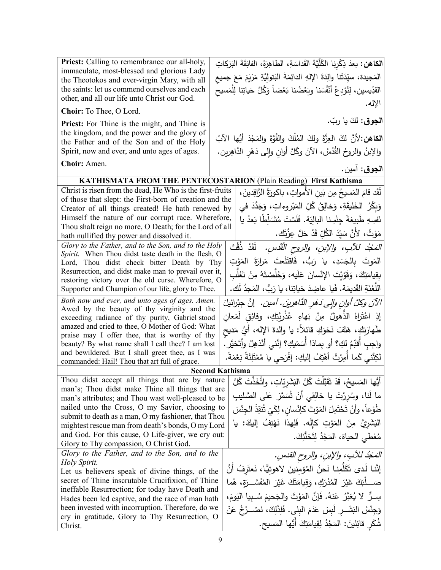| <b>Priest:</b> Calling to remembrance our all-holy,                                                      | ا <b>لكاهن:</b> بعدَ ذِكْرِنا الكُلِّيَّةَ القَداسَةِ، الطاهِرَةَ، الفائِقَةَ البَرَكاتِ |  |  |  |
|----------------------------------------------------------------------------------------------------------|------------------------------------------------------------------------------------------|--|--|--|
| immaculate, most-blessed and glorious Lady                                                               | المَجيدة، سيِّدَتَنا والِدَةَ الإِلهِ الدائِمَةَ البَتولِيَّةِ مَرْيَمَ مَعَ جميع        |  |  |  |
| the Theotokos and ever-virgin Mary, with all<br>the saints: let us commend ourselves and each            |                                                                                          |  |  |  |
| other, and all our life unto Christ our God.                                                             | القدِّيسين، لِنُوْدِعْ أَنْفُسَنا وبَعْضُنا بَعْضاً وَكُلَّ حَياتِنا لِلْمَسيح           |  |  |  |
| Choir: To Thee, O Lord.                                                                                  | الإله.                                                                                   |  |  |  |
| <b>Priest:</b> For Thine is the might, and Thine is                                                      | ا <b>لجوق</b> : لكَ يا ربّ.                                                              |  |  |  |
| the kingdom, and the power and the glory of                                                              |                                                                                          |  |  |  |
| the Father and of the Son and of the Holy                                                                | الكاهن:لأنَّ لكَ العِزَّةَ ولكَ المُلْكَ والقُوَّةَ والمَجْدَ أَيُّها الآبُ              |  |  |  |
| Spirit, now and ever, and unto ages of ages.                                                             | والإبنُ والروحُ القُدُسُ، الآنَ وكُلَّ أوانٍ وإِلى دَهْرِ الدَّاهِرين.                   |  |  |  |
| Choir: Amen.                                                                                             | ا <b>لجوق</b> : آمين.                                                                    |  |  |  |
|                                                                                                          | KATHISMATA FROM THE PENTECOSTARION (Plain Reading) First Kathisma                        |  |  |  |
| Christ is risen from the dead, He Who is the first-fruits                                                | لَقَد قامَ المَسيحُ مِن بَين الأمواتِ، باكورَةُ الرَّاقِدينَ،                            |  |  |  |
| of those that slept: the First-born of creation and the                                                  |                                                                                          |  |  |  |
| Creator of all things created! He hath renewed by                                                        | وَبِكْرُ الْخَلِيقَةِ، وَخالِقُ كُلِّ الْمَبْرِوءِاتِ، وَجَدَّدَ في                      |  |  |  |
| Himself the nature of our corrupt race. Wherefore,                                                       | نَفسِهِ طَبِيعَةَ جِنْسِنا البالِيَة. فَلَسْتَ مُتَسَلِّطًا بَعدُ يا                     |  |  |  |
| Thou shalt reign no more, O Death; for the Lord of all<br>hath nullified thy power and dissolved it.     | مَوْتُ، لأَنَّ سَيِّدَ الكُلِّ قَدْ حَلَّ عِزَّتَك.                                      |  |  |  |
| Glory to the Father, and to the Son, and to the Holy                                                     | المَجْدُ للآبِ، والإبنِ، والروحِ الْقُدُسِ. ۖ لَقَدْ ذُقْتَ                              |  |  |  |
| Spirit. When Thou didst taste death in the flesh, O                                                      | المَوتَ بالجَسَدِ، يا رَبُّ، فَاقتَلَعتَ مَرارَةَ المَوْتِ                               |  |  |  |
| Lord, Thou didst check bitter Death by Thy<br>Resurrection, and didst make man to prevail over it,       |                                                                                          |  |  |  |
| restoring victory over the old curse. Wherefore, O                                                       | بقِيامَتِكَ، وَقَوَّيْتَ الإِنْسانَ عَلَيه، وَخَلَّصْتَهُ مِنْ تَغَلَّب                  |  |  |  |
| Supporter and Champion of our life, glory to Thee.                                                       | اللَّغْنَةِ القَديمَة. فَيا عاضِدَ حَياتِنا، يا رَبُّ، المَجِدُ لَك.                     |  |  |  |
| Both now and ever, and unto ages of ages. Amen.                                                          | الآنَ وكلَّ أُوانِ وإلى دَهُرِ الدَّاهِرِينَ. آمين. [نَّ جِبْرائيلَ                      |  |  |  |
| Awed by the beauty of thy virginity and the                                                              | إِذِ اعْتَرِاهُ الذَّهولُ مِنْ بَهاءِ عُذْرِيَّتِكِ، وفائِق لَمَعان                      |  |  |  |
| exceeding radiance of thy purity, Gabriel stood<br>amazed and cried to thee, O Mother of God: What       |                                                                                          |  |  |  |
| praise may I offer thee, that is worthy of thy                                                           | طَهارَتِكِ، هَتَفَ نَحْوَكِ قائلاً: يا والدةَ الإله، أَيُّ مَديح                         |  |  |  |
| beauty? By what name shall I call thee? I am lost                                                        | واجِبِ أَقدِّمُ لكِ؟ أَو بِماذا أَسَمّيكِ؟ إنَّنى أَنْذهِلُ وأتَحَيَّر .                 |  |  |  |
| and bewildered. But I shall greet thee, as I was                                                         | لكِنَّني كَما أَمِرْتُ أَهْتِفُ إِليكِ: إفْرَحي يا مُمْتَلِئَةً نِعْمَةً.                |  |  |  |
| commanded: Hail! Thou that art full of grace.                                                            | <b>Second Kathisma</b>                                                                   |  |  |  |
| Thou didst accept all things that are by nature                                                          | أَيُّها المَسيحُ، قَدْ تَقَبَّلْتَ كُلَّ النِّشَرِيّاتِ، واتَّخَذْتَ كُلَّ               |  |  |  |
| man's; Thou didst make Thine all things that are                                                         |                                                                                          |  |  |  |
| man's attributes; and Thou wast well-pleased to be                                                       | ما لَنا، وسُرِرْتَ يا خالِقِي أَنْ شُهَرَ عَلَى الصَّليبِ                                |  |  |  |
| nailed unto the Cross, O my Savior, choosing to                                                          | طَوْعاً، وأَنْ تَحْتَمِلَ المَوْتَ كإنْسانِ، لِكَيْ تُنفِذَ الجِنْسَ                     |  |  |  |
| submit to death as a man, O my fashioner, that Thou<br>mightest rescue man from death's bonds, O my Lord | الْبَشَرِيَّ مِنَ الْمَوْتِ كَإِلَه. فَلِهذا نَهْتِفُ إِلَيكَ: يا                        |  |  |  |
| and God. For this cause, O Life-giver, we cry out:                                                       |                                                                                          |  |  |  |
| Glory to Thy compassion, O Christ God.                                                                   | مُعْطى الحياة، المَجْدُ لِتَحَنُّنِكَ.                                                   |  |  |  |
| Glory to the Father, and to the Son, and to the                                                          | المَحْدُ للآبِ، والإبنِ، والروحِ القدسِ.                                                 |  |  |  |
| Holy Spirit.                                                                                             | إِنَّنا لَدى تَكَلَّمِنا نَحنُ المُؤمِنينَ لاهوتيًّا، نَعتَرِفُ أَنَّ                    |  |  |  |
| Let us believers speak of divine things, of the                                                          |                                                                                          |  |  |  |
| secret of Thine inscrutable Crucifixion, of Thine<br>ineffable Resurrection; for today have Death and    | صَــــلْبَكَ غَيْرَ  المُدْرَكِ، وَقِيامَتَكَ غَيْرَ  المُفَسَّـــرَة،  هُما             |  |  |  |
| Hades been led captive, and the race of man hath                                                         | سِـرٌّ  لا يُعَبَّرُ  عَنهُ. فَإِنَّ المَوْتَ والجَحيمَ سُـبيا اليَومَ،                  |  |  |  |
| been invested with incorruption. Therefore, do we                                                        | وَجِنْسُ البَشَــرِ لَبِسَ عَدَمَ البِلي. فَلِذَٰلِكَ، نَصْــرُخُ عَنْ                   |  |  |  |
| cry in gratitude, Glory to Thy Resurrection, O                                                           |                                                                                          |  |  |  |
| Christ.                                                                                                  | شُكْرِ قَائِلِينَ: المَجْدُ لِقِيامَتِكَ أَيُّها المَسيحِ.                               |  |  |  |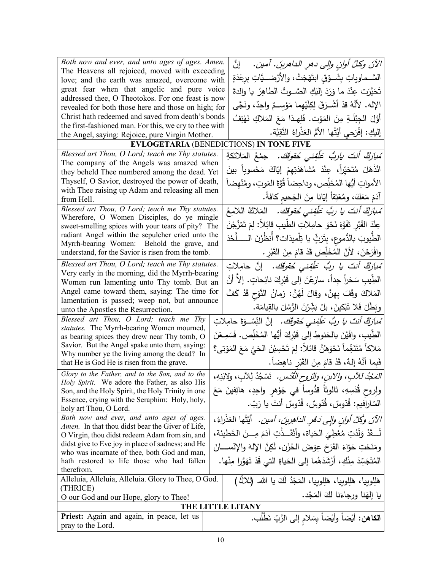| Both now and ever, and unto ages of ages. Amen.                                                           | الآنَ وكلَّ أوانِ وإلى دهرِ الداهرينَ. آمينَ. ﴿ إِنَّ                               |  |  |
|-----------------------------------------------------------------------------------------------------------|-------------------------------------------------------------------------------------|--|--|
| The Heavens all rejoiced, moved with exceeding<br>love; and the earth was amazed, overcome with           | السَّــماوياتِ بِشَــوْقٍ ابتَهَجَتْ، والأرْضـــيَّاتِ برعْدَةٍ                     |  |  |
| great fear when that angelic and pure voice                                                               |                                                                                     |  |  |
| addressed thee, O Theotokos. For one feast is now                                                         | تَحَيَّرَت عِنْدَ ما وَرَدَ إليْكِ الصَّــوتُ الطاهِرُ  يا والدةَ                   |  |  |
| revealed for both those here and those on high; for                                                       | الإله. لأَنَّهُ قدْ أَشْـرَقَ لِكِلَيْهما مَوْسـمٌ واحِدٌ، ونَجَّى                  |  |  |
| Christ hath redeemed and saved from death's bonds                                                         | أَوَّلَ الْجِبْلَةِ مِنَ الْمَوْتِ. فَلِهِذَا مَعَ الْمَلاكِ نَهْتِفُ               |  |  |
| the first-fashioned man. For this, we cry to thee with                                                    | إِلَيْكِ: إِفْرَحِي أَيَّتُهَا الأُمُّ الْعَذْرِاءُ النَّقِيَّةِ.                   |  |  |
| the Angel, saying: Rejoice, pure Virgin Mother.                                                           | <b>EVLOGETARIA (BENEDICTIONS) IN TONE FIVE</b>                                      |  |  |
| Blessed art Thou, O Lord; teach me Thy statutes.                                                          |                                                                                     |  |  |
| The company of the Angels was amazed when                                                                 | ُ <i>مْبازڭْ أَنتَ ياربُّ عَلَّفِنى حُقوقَك.</i> جمْعُ المَلائكةِ                   |  |  |
| they beheld Thee numbered among the dead. Yet                                                             | انْذَهَلَ مُتَحَيِّراً، عِنْدَ مُشاهَدَتِهِمْ إيّاكَ مَحْسوباً بينَ                 |  |  |
| Thyself, O Savior, destroyed the power of death,                                                          | الأمواتِ أَيُّها المُخَلِّص، وداحِضاً قُوَّةَ المَوتِ، ومُنْهضاً                    |  |  |
| with Thee raising up Adam and releasing all men                                                           | آدَمَ مَعَكَ، ومُعْتِقاً إِيَّانا مِنَ الْجَحيمِ كافةً.                             |  |  |
| from Hell.<br>Blessed art Thou, O Lord; teach me Thy statutes.                                            |                                                                                     |  |  |
| Wherefore, O Women Disciples, do ye mingle                                                                | مُ <i>بارَكٌ أنتَ يا ربُّ عَلَّفِني حُقوقَك.</i> المَلاكُ اللامِعُ                  |  |  |
| sweet-smelling spices with your tears of pity? The                                                        | عِنْدَ القَبْرِ تَفَوَّهَ نَحْوَ حامِلاتِ الطَّيبِ قائِلاً: لِمَ تَمْزُجْنَ         |  |  |
| radiant Angel within the sepulcher cried unto the                                                         | الطَّيوبَ بالدُّموعِ، بِتَرَبٍّ يا تِلْميذات؟ أنظُرْنَ الـــــلَّحْدَ               |  |  |
| Myrrh-bearing Women: Behold the grave, and<br>understand, for the Savior is risen from the tomb.          | وافْرَحْنَ، لأَنَّ المُخَلِّصَ قَدْ قامَ مِنَ القَبْرِ .                            |  |  |
|                                                                                                           |                                                                                     |  |  |
| Blessed art Thou, O Lord; teach me Thy statutes.<br>Very early in the morning, did the Myrrh-bearing      | مُ <i>بازڭ أنتَ يا ربُّ عَلَّفِنى حُقوقَك.</i> إنَّ حامِلاتِ                        |  |  |
| Women run lamenting unto Thy tomb. But an                                                                 | الطِّيبِ سَحَراً جِداً، سارَعْنَ إلى قَبْرِكَ نائِحاتٍ. إلاّ أَنَّ                  |  |  |
| Angel came toward them, saying: The time for                                                              | المَلاكَ وقَفَ بِهِنَّ، وقالَ لَهُنَّ: زمانُ النَّوْحِ قَدْ كَفَّ                   |  |  |
| lamentation is passed; weep not, but announce                                                             |                                                                                     |  |  |
| unto the Apostles the Resurrection.                                                                       | وبَطَلَ فَلا تَبْكينَ، بلْ بَشِّرْنَ الرُّسُلَ بِالْقِيامَةِ.                       |  |  |
| Blessed art Thou, O Lord; teach me Thy<br>statutes. The Myrrh-bearing Women mourned,                      | ُ <i>مبارَكٌ أنتَ يا ربُّ عَلْفِنى حُقوقَك.</i> إنَّ النِّسْـوَةَ حامِلاتِ          |  |  |
| as bearing spices they drew near Thy tomb, O                                                              | الطِّيبِ، وافَيْنَ بالحَنوطِ إلى قَبْرِكَ أَيُّها المُخَلِّص. فَسَمِعْنَ            |  |  |
| Savior. But the Angel spake unto them, saying:                                                            | مَلاكاً مُتَنَغِّماً نَحْوَهُنَّ قائلاً: لِمَ تَحْسِبْنَ الْحَيَّ مَعَ الْمَوْتِي؟  |  |  |
| Why number ye the living among the dead? In                                                               |                                                                                     |  |  |
| that He is God He is risen from the grave.                                                                | فَبِما أَنَّهُ إِلهٌ، قَدْ قامَ مِنَ القَبْرِ ناهِضاً.                              |  |  |
| Glory to the Father, and to the Son, and to the<br>Holy Spirit. We adore the Father, as also His          | المَجُدُ للآبِ، والابنِ، والتروح القُدُسِ. نَسْجُدُ لِلآبِ، ولابْنِهِ،              |  |  |
| Son, and the Holy Spirit, the Holy Trinity in one                                                         | ولِروح قُدْسِهِ، ثالوثاً قدُّوساً في جَوْهرِ واحِدٍ، هاتِفينَ مَعَ                  |  |  |
| Essence, crying with the Seraphim: Holy, holy,                                                            | السّارافيم: قُدّوسٌ، قُدّوسٌ، قُدّوسٌ أنتَ يا رَبّ.                                 |  |  |
| holy art Thou, O Lord.                                                                                    |                                                                                     |  |  |
| Both now and ever, and unto ages of ages.                                                                 | الآنَ وَكُلَّ أُولِن وَإِلَى دَهْرِ الدَاهِرِينَ، آمين. ۖ أَيَّتُها الْعَذْرَاءُ،   |  |  |
| <i>Amen.</i> In that thou didst bear the Giver of Life,<br>O Virgin, thou didst redeem Adam from sin, and | لْــقَدْ وَلَدْتِ مُعْطِيَ الْحَياة، وأَنْقَــذْتِ آدَمَ مِـــنَ الْخَطْيئة،        |  |  |
| didst give to Eve joy in place of sadness; and He                                                         |                                                                                     |  |  |
| who was incarnate of thee, both God and man,                                                              | ومَنَحْتِ حَوّاءَ الفَرَحَ عِوَضَ الحُزْنِ، لَكِنَّ الإِلهَ والإِنْســـانَ          |  |  |
| hath restored to life those who had fallen                                                                | الْمُتَجَسِّدَ مِنْكِ، أَرْشَدَهُما إِلَى الْحَياةِ الَّتِي قَدْ تَهَوَّرِا مِنْها. |  |  |
| therefrom.<br>Alleluia, Alleluia, Alleluia. Glory to Thee, O God.                                         |                                                                                     |  |  |
| (THRICE)                                                                                                  | هَلِلوبِيا، هَلِلوبِيا، هَلِلوبِيا، المَجْدُ لَكَ يا الله. (ثلاثًا)                 |  |  |
| O our God and our Hope, glory to Thee!                                                                    | يا إلهَنا ورجاءَنا لكَ المَجْد.                                                     |  |  |
| THE LITTLE LITANY                                                                                         |                                                                                     |  |  |
| Priest: Again and again, in peace, let us                                                                 | الكاهن: أيْضاً وأيْضاً بِسَلامِ إلى الرَّبِّ نَطْلَب.                               |  |  |
| pray to the Lord.                                                                                         |                                                                                     |  |  |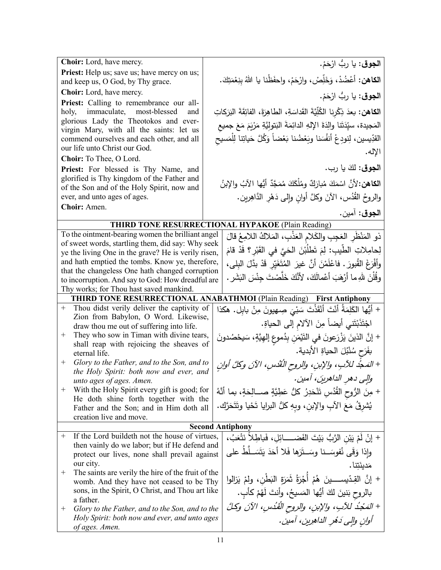| Choir: Lord, have mercy.                                                                                 | ا <b>لجوق</b> : يا ربُّ ارْحَمْ.                                                         |  |  |
|----------------------------------------------------------------------------------------------------------|------------------------------------------------------------------------------------------|--|--|
| <b>Priest:</b> Help us; save us; have mercy on us;                                                       |                                                                                          |  |  |
| and keep us, O God, by Thy grace.                                                                        | الكاهن: أعْضُدْ، وَخَلِّصْ، وارْحَمْ، واحفَظْنا يا اللهُ بِنِعْمَتِكَ.                   |  |  |
| Choir: Lord, have mercy.                                                                                 | ا <b>لجوق</b> : يا ربُّ ارْحَمْ.                                                         |  |  |
| Priest: Calling to remembrance our all-                                                                  |                                                                                          |  |  |
| immaculate,<br>most-blessed<br>holy,<br>and<br>glorious Lady the Theotokos and ever-                     | ا <b>لكاهن:</b> بعدَ ذِكْرِنا الكُلِّيَّةَ القَداسَةِ، الطاهِرَةَ، الفائِقَةَ البَرَكاتِ |  |  |
| virgin Mary, with all the saints: let us                                                                 | المَجيدة، سيِّدَتَنا والِدَةَ الإِلهِ الدائِمَةَ البَتولِيَّةِ مَرْيَمَ مَعَ جميع        |  |  |
| commend ourselves and each other, and all                                                                | القدِّيسين، لِنودِعْ أَنفُسَنا وبَعْضُنا بَعْضاً وَكُلَّ حَياتِنا لِلْمَسيحِ             |  |  |
| our life unto Christ our God.                                                                            | الإله.                                                                                   |  |  |
| Choir: To Thee, O Lord.                                                                                  |                                                                                          |  |  |
| Priest: For blessed is Thy Name, and                                                                     | ا <b>لجوق</b> : لكَ يا رب.                                                               |  |  |
| glorified is Thy kingdom of the Father and<br>of the Son and of the Holy Spirit, now and                 | ا <b>لكاهن:</b> 'لأنَّ اسْمَكَ مُبارَكٌ ومُلْكَكَ مُمَجَّدٌ أَيُّها الآبُ والإِبنُ       |  |  |
| ever, and unto ages of ages.                                                                             | والروحُ القُدُس، الأنَ وكلَّ أوانِ وإلى دَهْرِ الدَّاهِرين.                              |  |  |
| Choir: Amen.                                                                                             |                                                                                          |  |  |
|                                                                                                          | ا <b>لجوق</b> : آمين.                                                                    |  |  |
|                                                                                                          | THIRD TONE RESURRECTIONAL HYPAKOE (Plain Reading)                                        |  |  |
| To the ointment-bearing women the brilliant angel                                                        | ذو المَنْظَرِ العَجِبِ والكَلام العَذْبِ، المَلاكُ اللامِعُ قالَ                         |  |  |
| of sweet words, startling them, did say: Why seek<br>ye the living One in the grave? He is verily risen, | لِحامِلاتِ الطَّيبِ: لِمَ تَطْلَبْنَ الْحَيَّ في القَبْرِ ؟ قَدْ قامَ                    |  |  |
| and hath emptied the tombs. Know ye, therefore,                                                          | وأَفْرَغَ الْقُبورَ . فاعْلَمْنَ أَنَّ غيرَ المُتَغَيّرِ قَدْ بِدَّلَ البِلي،            |  |  |
| that the changeless One hath changed corruption                                                          |                                                                                          |  |  |
| to incorruption. And say to God: How dreadful are                                                        | وقُلْنَ للهِ ما أَرْهَبَ أَعْمالَكَ، لأَنَّكَ خَلَّصْتَ جِنْسَ البَشَرِ .                |  |  |
| Thy works; for Thou hast saved mankind.                                                                  |                                                                                          |  |  |
|                                                                                                          |                                                                                          |  |  |
|                                                                                                          | THIRD TONE RESURRECTIONAL ANABATHMOI (Plain Reading) First Antiphony                     |  |  |
| Thou didst verily deliver the captivity of<br>$+$                                                        | + أَيُّها الكَلِمَةُ أَنْتَ أَنْقَذْتَ سَبْيَ صِهيونَ مِنْ بابِل. هكذا                   |  |  |
| Zion from Babylon, O Word. Likewise,<br>draw thou me out of suffering into life.                         |                                                                                          |  |  |
| They who sow in Timan with divine tears,<br>$^+$                                                         | اجْتَذَبْتَنِي أيضاً مِنَ الآلام إلى الحياةِ.                                            |  |  |
| shall reap with rejoicing the sheaves of                                                                 | + إنَّ الذينَ يَزْرَعونَ في النَّيْمَنِ بِدُموعِ إلهِيَّةٍ، سَيحْصُدونَ                  |  |  |
| eternal life.                                                                                            | بفَرَحٍ سُنْبُلَ الحياةِ الأبدية.                                                        |  |  |
| Glory to the Father, and to the Son, and to<br>$^{+}$                                                    | + المَحدُ للآبِ، والإبنِ، والروحِ الْقُدُسِ، الآنَ وكلَّ أُوانِ                          |  |  |
| the Holy Spirit: both now and ever, and<br>unto ages of ages. Amen.                                      | والِي دهر الداهرينَ، آمين.                                                               |  |  |
| With the Holy Spirit every gift is good; for<br>$^{+}$                                                   |                                                                                          |  |  |
| He doth shine forth together with the                                                                    | + مِنَ الرُّوحِ القُدُسِ تَنْحَدِرُ كلُّ عَطِيَّةٍ صـــالِحَةٍ، بما أنَّهُ               |  |  |
| Father and the Son; and in Him doth all                                                                  | يُشرقُ مَعَ الآبِ والإبنِ، وبِهِ كلُّ البرايا تَحْيا وتَتَحَرَّك.                        |  |  |
| creation live and move.                                                                                  |                                                                                          |  |  |
| If the Lord buildeth not the house of virtues,<br>$^{+}$                                                 | <b>Second Antiphony</b>                                                                  |  |  |
| then vainly do we labor; but if He defend and                                                            | + إنْ لَمْ يَبْنِ الرَّبُّ بَيْتَ الفَضـــــائِلِ، فَباطِلاَ نَتْعَبُ،                   |  |  |
| protect our lives, none shall prevail against                                                            | وإذا وَقَى نُفوسَــنا وسَــتَرَها فَلا أَحَدَ يَتَسَــلَّطُ علـي                         |  |  |
| our city.                                                                                                | مَدينَتنا .                                                                              |  |  |
| The saints are verily the hire of the fruit of the<br>$^+$                                               | + إنَّ القِـدّيســـــينَ هُمْ أَجْرَةُ ثَمَرَةِ النَطْنِ، ولمْ يَزالوا                   |  |  |
| womb. And they have not ceased to be Thy<br>sons, in the Spirit, O Christ, and Thou art like             |                                                                                          |  |  |
| a father.                                                                                                | بالروح بَنينَ لَكَ أَيُّها المَسيحُ، وأنتَ لَهُمْ كأبٍ.                                  |  |  |
| Glory to the Father, and to the Son, and to the<br>$^{+}$                                                | + المَجْدُ للآبِ، والإبنِ، والروح القُدُسِ، الآنَ وكلَّ                                  |  |  |
| Holy Spirit: both now and ever, and unto ages<br>of ages. Amen.                                          | أوان والي دَهُر الداهرِينِ، أمينِ.                                                       |  |  |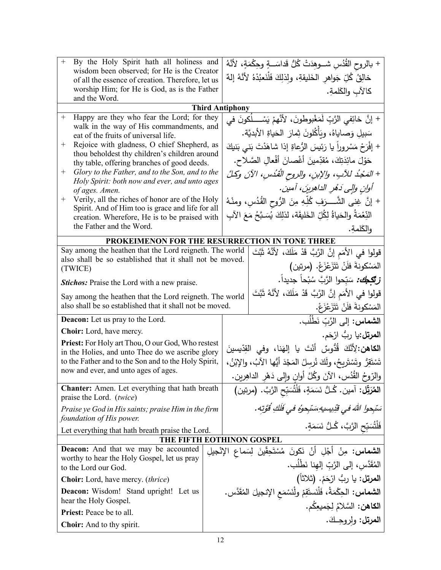| $^{+}$<br>By the Holy Spirit hath all holiness and<br>wisdom been observed; for He is the Creator<br>of all the essence of creation. Therefore, let us |                                                                                                                     |                                                                    | + بالروح القُدُسِ شـــوهِدَتْ كُلُّ قَداسَـــةٍ وحِكْمَةٍ، لأنَّهُ        |                                                                           |
|--------------------------------------------------------------------------------------------------------------------------------------------------------|---------------------------------------------------------------------------------------------------------------------|--------------------------------------------------------------------|---------------------------------------------------------------------------|---------------------------------------------------------------------------|
|                                                                                                                                                        |                                                                                                                     | خالِقٌ كُلِّ جَواهر الخَليقةِ، ولذلِكَ فَلْنَعبُدْهُ لأَنَّهُ إلهٌ |                                                                           |                                                                           |
| worship Him; for He is God, as is the Father                                                                                                           |                                                                                                                     | كالآب والكَلمةِ.                                                   |                                                                           |                                                                           |
| and the Word.                                                                                                                                          |                                                                                                                     |                                                                    |                                                                           |                                                                           |
|                                                                                                                                                        |                                                                                                                     |                                                                    | <b>Third Antiphony</b>                                                    |                                                                           |
| $^{+}$                                                                                                                                                 | Happy are they who fear the Lord; for they<br>walk in the way of His commandments, and                              |                                                                    |                                                                           | + إنَّ خائِفي الرَّبِّ لَمَغْبوطونَ، لأنَّهمْ يَسْــــلُكونَ في           |
|                                                                                                                                                        | eat of the fruits of universal life.                                                                                |                                                                    |                                                                           | سَبيلِ وَصاياهُ، ويَأْكُلونَ ثِمارَ  الحَياةِ الأبديَّة.                  |
| Rejoice with gladness, O chief Shepherd, as<br>$^+$                                                                                                    |                                                                                                                     |                                                                    | + إفْرَحْ مَسْروراً يا رَئِيسَ الرُّعاةِ إذا شاهَدْتَ بَني بَنيكَ         |                                                                           |
|                                                                                                                                                        | thou beholdest thy children's children around<br>thy table, offering branches of good deeds.                        |                                                                    | حَوْلَ مائِدَتِكَ، مُقدِّمينَ أَغْصانَ أَفْعالِ الصَّلاحِ.                |                                                                           |
| $^+$                                                                                                                                                   | Glory to the Father, and to the Son, and to the                                                                     |                                                                    |                                                                           | + المَجْدُ للآبِ، والإبنِ، والروح الْقُدُسِ، الآنَ وكلَّ                  |
| Holy Spirit: both now and ever, and unto ages<br>of ages. Amen.                                                                                        |                                                                                                                     |                                                                    |                                                                           | أوانِ والِي دَهْرِ الداهرِينَ، آمين.                                      |
| $^{+}$                                                                                                                                                 | Verily, all the riches of honor are of the Holy                                                                     |                                                                    |                                                                           | + إنَّ غِنـى الشَّـــرَفِ كُلِّـهِ مِنَ الرُّوحِ القُدُسِ، ومنْـهُ        |
|                                                                                                                                                        | Spirit. And of Him too is grace and life for all<br>creation. Wherefore, He is to be praised with                   |                                                                    |                                                                           | النِّعْمَةُ والحَياةُ لِكُلِّ الخَليقَة، لذلِكَ يُسَبَّحُ مَعَ الآبِ      |
|                                                                                                                                                        | the Father and the Word.                                                                                            |                                                                    |                                                                           | والكَلمةِ.                                                                |
|                                                                                                                                                        | PROKEIMENON FOR THE RESURRECTION IN TONE THREE                                                                      |                                                                    |                                                                           |                                                                           |
|                                                                                                                                                        | Say among the heathen that the Lord reigneth. The world                                                             |                                                                    |                                                                           | قولوا في الأُمَمِ إنَّ الرَّبَّ قَدْ مَلَكَ، لأنَّهُ ثَبَّتَ              |
|                                                                                                                                                        | also shall be so established that it shall not be moved.<br>(TWICE)                                                 |                                                                    |                                                                           | المَسْكونةَ فَلَنْ تَتَزَعْزَعْ. (مرتين)                                  |
|                                                                                                                                                        | <b>Stichos:</b> Praise the Lord with a new praise.                                                                  |                                                                    |                                                                           | <b>زتَّكِكِّ:</b> سَبِّحوا الرَّبَّ سُبْحاً جديداً.                       |
|                                                                                                                                                        |                                                                                                                     |                                                                    |                                                                           | قولوا في الأُمَم إِنَّ الرَّبَّ قَدْ مَلَكَ، لأَنَّهُ ثَبَّتَ             |
|                                                                                                                                                        | Say among the heathen that the Lord reigneth. The world<br>also shall be so established that it shall not be moved. |                                                                    |                                                                           | المَسْكونةَ فلَنْ تَتَزَعْزَعْ.                                           |
|                                                                                                                                                        | <b>Deacon:</b> Let us pray to the Lord.                                                                             |                                                                    |                                                                           | ا <b>لشماس:</b> إلى الرَّبِّ نَطْلُب.                                     |
|                                                                                                                                                        | Choir: Lord, have mercy.                                                                                            |                                                                    | ا <b>لمرتل:</b> يا ربُّ ارْحَم.                                           |                                                                           |
|                                                                                                                                                        | <b>Priest:</b> For Holy art Thou, O our God, Who restest                                                            |                                                                    |                                                                           | ا <b>لكاهن:</b> لِأنَّكَ قُدُّوسٌ أَنْتَ يا إِلهَنا، وفي القِدِّيسينَ     |
|                                                                                                                                                        | in the Holies, and unto Thee do we ascribe glory<br>to the Father and to the Son and to the Holy Spirit,            |                                                                    | تَسْتَقِرُ وتَسْتَرِيحُ، ولَكَ نُرسِلُ المَجْدَ أَيُّها الآبُ، والإِبْنُ، |                                                                           |
|                                                                                                                                                        | now and ever, and unto ages of ages.                                                                                |                                                                    |                                                                           |                                                                           |
|                                                                                                                                                        |                                                                                                                     |                                                                    |                                                                           | والرّوحُ القُدُس، الآنَ وكُلَّ أوانٍ وإلى دَهْرِ الداهِرين.               |
|                                                                                                                                                        | <b>Chanter:</b> Amen. Let everything that hath breath<br>praise the Lord. (twice)                                   |                                                                    |                                                                           | المُرَبِّل: آمين. كُـلُّ نَسَمَةٍ، فَلْتُسَبِّحِ الرَّبَّ. (مرتين)        |
|                                                                                                                                                        | Praise ye God in His saints; praise Him in the firm                                                                 |                                                                    |                                                                           | سَبْحوا اللهَ في قُدِيسيهِ سَنَجوهُ في فَلَكِ قُوَّتِه .                  |
|                                                                                                                                                        | foundation of His power.                                                                                            |                                                                    |                                                                           | فَلْتُسَبِّحِ الرَّبَّ، كُـلُّ نَسَمَةٍ.                                  |
|                                                                                                                                                        | Let everything that hath breath praise the Lord.                                                                    |                                                                    | THE FIFTH EOTHINON GOSPEL                                                 |                                                                           |
|                                                                                                                                                        | <b>Deacon:</b> And that we may be accounted                                                                         |                                                                    |                                                                           | <b>الشماس:</b> مِنْ أَجْلِ أَنْ نَكونَ مُسْتَحِقّينَ لِسَماعِ الإِنْجِيلِ |
|                                                                                                                                                        | worthy to hear the Holy Gospel, let us pray                                                                         |                                                                    |                                                                           |                                                                           |
| to the Lord our God.                                                                                                                                   |                                                                                                                     |                                                                    | المُقَدَّس، إلى الرَّبّ إلهنا نَطْلُب.                                    |                                                                           |
|                                                                                                                                                        | <b>Choir:</b> Lord, have mercy. <i>(thrice)</i>                                                                     |                                                                    |                                                                           | ا <b>لمرتل:</b> يا ربُ ارْحَمْ. (ثلاثاً)                                  |
|                                                                                                                                                        | <b>Deacon:</b> Wisdom! Stand upright! Let us<br>hear the Holy Gospel.                                               |                                                                    |                                                                           | الشعاس: الحِكْمَةُ، فَلْنَستَقِمْ ولْنَسْمَعِ الإنجيلَ المُقَدَّس.        |
| Priest: Peace be to all.                                                                                                                               |                                                                                                                     |                                                                    | ا <b>لكاهن:</b> السَّلامُ لِجَميعِكُم.                                    |                                                                           |
|                                                                                                                                                        |                                                                                                                     |                                                                    |                                                                           | العرتل: ولروجِكَ.                                                         |
| <b>Choir:</b> And to thy spirit.                                                                                                                       |                                                                                                                     |                                                                    |                                                                           |                                                                           |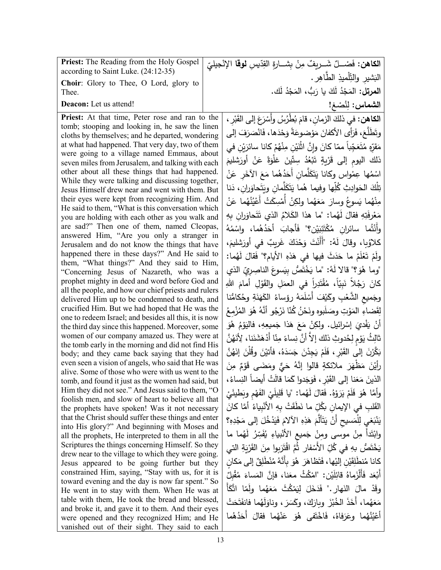| <b>Priest:</b> The Reading from the Holy Gospel<br>according to Saint Luke. (24:12-35)                   | ا <b>لكاهن:</b> فَصْــلٌ شَــريفٌ مِنْ بِشــارةِ القِدّيسِ <b>لوقا</b> الإِنْجيليّ |
|----------------------------------------------------------------------------------------------------------|------------------------------------------------------------------------------------|
| Choir: Glory to Thee, O Lord, glory to                                                                   | الْبَشْيْرِ وْالتِّلْمِيْذِ الطَّاهِرِ .                                           |
| Thee.                                                                                                    | ا <b>لمرتل:</b> المَجْدُ لَكَ يا رَبُّ، المَجْدُ لَك.                              |
| Deacon: Let us attend!                                                                                   | الشماس: لِنُصْغ!                                                                   |
| Priest: At that time, Peter rose and ran to the<br>tomb; stooping and looking in, he saw the linen       | ا <b>لكاهن:</b> في ذلكَ الزمان، قامَ بُطْرُسُ وأَسْرَعَ إلى القَبْرِ ،             |
| cloths by themselves; and he departed, wondering                                                         | وتَطَلَّعَ، فَرَأَى الأَكفانَ مَوْضوعَةً وَحْدَها، فَانْصَرَفَ إلى                 |
| at what had happened. That very day, two of them                                                         | مَقرّهِ مُتَعَجِّباً ممّا كانَ وإنَّ اثْنَيْنِ مِنْهُمْ كانا سائرَيْنِ في          |
| were going to a village named Emmaus, about<br>seven miles from Jerusalem, and talking with each         | ذلك اليوم إلى قَرْيةٍ تَبْعُدُ سِتّينَ غلْوَةً عَنْ أُورَشْليمَ                    |
| other about all these things that had happened.                                                          | اسْمُها عِمْواس وكانا يَتَكَلَّمان أَحَدُهُما مَعَ الآخَر عَنْ                     |
| While they were talking and discussing together,                                                         | تِلْكَ الحَوادِثِ كُلِّها وفِيما هُما يَتَكَلَّمان ويَتَحاوَران، دَنا              |
| Jesus Himself drew near and went with them. But<br>their eyes were kept from recognizing Him. And        |                                                                                    |
| He said to them, "What is this conversation which                                                        | مِنْهُما يَسوعُ وسارَ مَعَهُما ولكِنْ أَمْسِكَتْ أَعْيُنُهُما عَنْ                 |
| you are holding with each other as you walk and                                                          | مَعْرِفَتِهِ فقالَ لَهُما: "ما هذا الكَلامُ الذي تَتَحاوَران بِهِ                  |
| are sad?" Then one of them, named Cleopas,<br>answered Him, "Are you only a stranger in                  | وأَنْتُما سائران مُكْتَئِبَيْن؟" فَأَجابَ أَحَدُهُما، واسْمُهُ                     |
| Jerusalem and do not know the things that have                                                           | كلاوُبِا، وقالَ لَهُ: "أَأَنْتَ وَحْدَكَ غَرِيبٌ في أُورَشليمَ،                    |
| happened there in these days?" And He said to                                                            | ولَمْ تَعْلَمْ ما حَدَثَ فيها في هَذهِ الأيام؟" فَقالَ لَهُما:                     |
| them, "What things?" And they said to Him,<br>"Concerning Jesus of Nazareth, who was a                   | "وما هُوَ؟" قالا لَهُ: "ما يَخْتَصُّ بِيَسوعَ الناصِريِّ الذي                      |
| prophet mighty in deed and word before God and                                                           | كَانَ رَجُلاً نَبِيّاً، مُقْتَدِراً في العمَلِ والقَوْلِ أمامَ اللهِ               |
| all the people, and how our chief priests and rulers                                                     |                                                                                    |
| delivered Him up to be condemned to death, and                                                           | وجَميع الشَّعْبِ وكَيْفَ أَسْلَمَهُ رؤساءُ الكَهَنَةِ وحُكامُنا                    |
| crucified Him. But we had hoped that He was the<br>one to redeem Israel; and besides all this, it is now | لِقَضاءِ المَوْتِ وصَلَبوهِ ونَحْنُ كُنّا نَرْجُو أَنَّهُ هُوَ المُزْمِعُ          |
| the third day since this happened. Moreover, some                                                        | أَنْ يَفْدِيَ إِسْرائيل. ولكِنْ مَعَ هَذا جَميعِهِ، فاليَوْمُ هُوَ                 |
| women of our company amazed us. They were at                                                             | ثالِثُ يَوْمٍ لِحُدوثِ ذلك إِلاَّ أَنَّ نِساءً مِنّا أَدْهَشَنَنا، لِأَنَهُنَّ     |
| the tomb early in the morning and did not find His<br>body; and they came back saying that they had      | بَكَّرْنَ إِلَى الْقَبْرِ ، فَلَمْ يَجِدْنَ جَسَدَهُ، فَأَتيْنَ وِقُلْنَ إِنَهُنَّ |
| even seen a vision of angels, who said that He was                                                       | رأَيْنَ مَظْهَرَ ملائكةٍ قالوا إِنَّهُ حَيٍّ ومَضَى قَوْمٌ مِنَ                    |
| alive. Some of those who were with us went to the                                                        |                                                                                    |
| tomb, and found it just as the women had said, but<br>Him they did not see." And Jesus said to them, "O  | الذينَ مَعَنا إلى القَبْرِ ، فَوَجَدوا كَمَا قالَتْ أيضاً النِساءُ ،               |
| foolish men, and slow of heart to believe all that                                                       | وأمَّا هُوَ فَلَمْ يَرَوْهُ. فَقالَ لَهُما: "يا قَلِيلَىْ الفَهْم وبَطْيئَىْ       |
| the prophets have spoken! Was it not necessary                                                           | القَلبِ في الإِيمانِ بِكُلِّ ما نَطَقَتْ بِهِ الأَنْبِياءُ أَمَّا كَانَ            |
| that the Christ should suffer these things and enter                                                     | يَنْبَغي لِلْمَسيحِ أَنْ يَتَأَلَّمَ هَذِهِ الآلامَ فَيَدْخُلَ إلى مَجْدِهِ؟       |
| into His glory?" And beginning with Moses and<br>all the prophets, He interpreted to them in all the     | وابْتَدَأَ مِنْ موسى ومِنْ جَميعِ الأَنْبِياءِ يُفَسِّرُ لَهُما ما                 |
| Scriptures the things concerning Himself. So they                                                        | يَخْتَصُّ بِهِ في كُلِّ الأَسْفارِ ثُمَّ اقْتَرَبِوا مِنَ القَرْيَةِ التي          |
| drew near to the village to which they were going.                                                       | كانا مُنطَلِقَيْنِ إليْها، فَتَظاهَرَ ۖ هُوَ بِأَنَّهُ مُنْطَلِقٌ إلى مَكان        |
| Jesus appeared to be going further but they<br>constrained Him, saying, "Stay with us, for it is         |                                                                                    |
| toward evening and the day is now far spent." So                                                         | أَبْعَد فَأَلْزَماهُ قائِلَيْنِ: "امْكُثْ معَنا، فإنَّ المَساءَ مُقْبِلٌ           |
| He went in to stay with them. When He was at                                                             | وقَدْ مالَ النَهارِ ." فَدَخَلَ لَيَمْكُثَ مَعَهُما ولَمّا اتَّكَأَ                |
| table with them, He took the bread and blessed,                                                          | مَعَهُما، أَخَذَ الخُبْزَ وبارَكَ، وكَسَرَ، ونِاوَلَهُما فانفَتَحَتْ               |
| and broke it, and gave it to them. And their eyes<br>were opened and they recognized Him; and He         | أَعْيُنُهُما وعَرَفاهُ، فَاخْتَفِي هُوَ عَنْهُما فقالَ أَحَدُهُما                  |
| vanished out of their sight. They said to each                                                           |                                                                                    |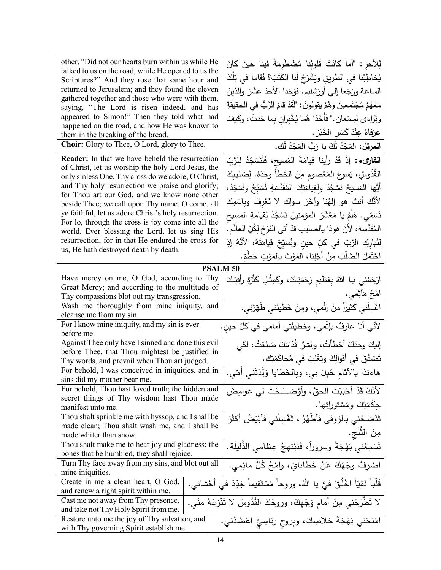| other, "Did not our hearts burn within us while He                                                                                                      | لِلآخر : "أما كانَتْ قُلوبُنا مُضْطَرِمَةً فينا حينَ كانَ                        |
|---------------------------------------------------------------------------------------------------------------------------------------------------------|----------------------------------------------------------------------------------|
| talked to us on the road, while He opened to us the<br>Scriptures?" And they rose that same hour and                                                    | يُخاطِبُنا في الطريقِ ويَشْرَحُ لَنا الكُتُبَ؟ فَقاما في تِلْكَ                  |
| returned to Jerusalem; and they found the eleven                                                                                                        | الساعةِ ورَجَعا إلى أورَشليم. فوَجَدا الأحدَ عشَرَ والذينَ                       |
| gathered together and those who were with them,                                                                                                         | مَعَهُمْ مُجْتَمِعينَ وهُمْ يَقولونَ: "لَقَدْ قامَ الرَّبُّ في الحقيقةِ          |
| saying, "The Lord is risen indeed, and has<br>appeared to Simon!" Then they told what had                                                               |                                                                                  |
| happened on the road, and how He was known to                                                                                                           | وتَراءي لِسِمْعانَ." فَأَخَذا هُما يُخْبِران بِما حَدَثَ، وكَيفَ                 |
| them in the breaking of the bread.                                                                                                                      | عَرَفاهُ عِنْدَ كَسْرِ الخُبْزِ .                                                |
| Choir: Glory to Thee, O Lord, glory to Thee.                                                                                                            | ا <b>لمرتل:</b> المَجْدُ لَكَ يا رَبُّ المَجْدُ لَك.                             |
| <b>Reader:</b> In that we have beheld the resurrection                                                                                                  | ا <b>لقارىء :</b> إذْ قَدْ رأينا قِيامَةَ المَسيح، فَلْنَسْجُدْ لِلرَّبِّ        |
| of Christ, let us worship the holy Lord Jesus, the<br>only sinless One. Thy cross do we adore, O Christ,                                                | القُدُّوسِّ، يَسوعَ المَعْصومِ مِنَ الخَطَأَ وحدَهُ. لِصَليبِكَ                  |
| and Thy holy resurrection we praise and glorify;                                                                                                        | أَيُّها المَسيحُ نَسْجُدُ ولقِيامَتِكَ المُقَدَّسَةِ نُسَبِّحُ ونُمَجِّدُ،       |
| for Thou art our God, and we know none other                                                                                                            |                                                                                  |
| beside Thee; we call upon Thy name. O come, all                                                                                                         | لأَنَّكَ أَنتَ هو إلهُنا وآخَرَ سواكَ لا نَعْرِفُ وبِاسْمِكَ                     |
| ye faithful, let us adore Christ's holy resurrection.<br>For lo, through the cross is joy come into all the                                             | نُسَمّى. هَلَمَّ يا مَعْشَرَ المؤمنينَ نَسْجُدْ لِقيامَةِ المَسيح                |
| world. Ever blessing the Lord, let us sing His                                                                                                          | المُقَدَّسة، لأنَّ هوذا بالصليبِ قَدْ أتى الفَرَحُ لِكُلِّ العالَمِ.             |
| resurrection, for in that He endured the cross for                                                                                                      | لِنُبارِكِ الرَّبَّ في كلِّ حينِ ونُسَبِّحْ قِيامَتَهُ، لأنَّهُ إذِ              |
| us, He hath destroyed death by death.                                                                                                                   | احْتَمَلَ الصَّلْبَ مِنْ أَجْلِنا، المَوْتَ بالمَوْتِ حَطَّمْ.                   |
|                                                                                                                                                         | <b>PSALM 50</b>                                                                  |
| Have mercy on me, O God, according to Thy                                                                                                               |                                                                                  |
| Great Mercy; and according to the multitude of                                                                                                          | ارْحَمْني يـا اللهُ بِعَظيمِ رَحْمَتِكَ، وكَمِثْلِ كَثْرَةٍ رأفتِكَ              |
| Thy compassions blot out my transgression.                                                                                                              | امْخُ مَأْثِمي.                                                                  |
| Wash me thoroughly from mine iniquity, and                                                                                                              | اغْسِلْني كَثيراً مِنْ إِثْمي، ومِنْ خَطْيئَتي طَهِّرْني.                        |
| cleanse me from my sin.                                                                                                                                 |                                                                                  |
| For I know mine iniquity, and my sin is ever                                                                                                            | لأنّي أنّا عارِفٌ بإثْمي، وخَطيئَتي أمامي في كلِّ حينٍ.                          |
| before me.<br>Against Thee only have I sinned and done this evil                                                                                        |                                                                                  |
| before Thee, that Thou mightest be justified in                                                                                                         | إليكَ وحدَكَ أخطأتُ، والشرَّ قُدّامَكَ صَنَعْتُ، لَكَي                           |
| Thy words, and prevail when Thou art judged.                                                                                                            | تَصْدُقَ في أقوالِكَ وتَغْلِبَ في مُحاكَمَتِك.                                   |
| For behold, I was conceived in iniquities, and in                                                                                                       |                                                                                  |
| sins did my mother bear me.                                                                                                                             | هاءنذا بالآثام حُبِلَ بي، وبالخَطايا وَلَدَتْني أُمّي.                           |
| For behold, Thou hast loved truth; the hidden and                                                                                                       | لأَنَّكَ قَدْ أَحْبَبْتَ الحقَّ، وأَوْضــَـحْتَ ل <sub>َّى</sub> غَوامِضَ        |
| secret things of Thy wisdom hast Thou made                                                                                                              |                                                                                  |
| manifest unto me.                                                                                                                                       | حكْمَتِكَ ومَسْتوراتِها.                                                         |
| Thou shalt sprinkle me with hyssop, and I shall be                                                                                                      | تَنْضَحُني بالزوفي فأطْهُرُ ، تَغْسِلُني فأَبْيَضُ أكثَرَ                        |
| made clean; Thou shalt wash me, and I shall be                                                                                                          | مِنَ الثَّلْجِ.                                                                  |
| made whiter than snow.                                                                                                                                  |                                                                                  |
| Thou shalt make me to hear joy and gladness; the<br>bones that be humbled, they shall rejoice.                                                          | تُسْمِعُني بَهْجَةً وسروراً، فَتَبْتَهِجُ عِظامي الذَّليلَة.                     |
| Turn Thy face away from my sins, and blot out all                                                                                                       | اصْرِفْ وِجْهَكَ عَنْ خَطَايايَ، واِمْحُ كُلَّ مآثِمي.                           |
| mine iniquities.                                                                                                                                        |                                                                                  |
| Create in me a clean heart, O God,                                                                                                                      | قَلْباً نَقِيّاً اخْلُقْ فِيَّ يا اللهُ، وروحاً مُسْتَقيماً جَدِّدْ في أَحْشائي. |
| and renew a right spirit within me.                                                                                                                     |                                                                                  |
| لا تَطْرَحْني مِنْ أمام وَجْهِكَ، وروحُكَ القُدُوسُ لا تَنْزِعْهُ منّي.<br>Cast me not away from Thy presence,<br>and take not Thy Holy Spirit from me. |                                                                                  |
| Restore unto me the joy of Thy salvation, and                                                                                                           | امْنَحْني بَهْجَةَ خلاصِكَ، وبِروحِ رئاسِيِّ اعْضُدْني.                          |
|                                                                                                                                                         |                                                                                  |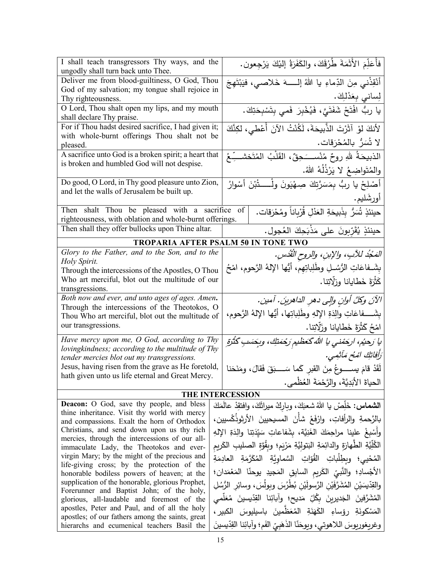| I shall teach transgressors Thy ways, and the<br>ungodly shall turn back unto Thee.                   |  | فأُعَلِّمَ الأَثَمَةَ طُرُقَكَ، والكَفَرَةُ إليْكَ يَرْجِعون.                           |
|-------------------------------------------------------------------------------------------------------|--|-----------------------------------------------------------------------------------------|
| Deliver me from blood-guiltiness, O God, Thou                                                         |  | أَنْقِذْنِي مِنَ الدِّماءِ يا اللهُ إلــــــهَ خَلاصــي، فَيَبْتَهِجَ                   |
| God of my salvation; my tongue shall rejoice in                                                       |  |                                                                                         |
| Thy righteousness.                                                                                    |  | لِساني بِعَدْلِكَ.                                                                      |
| O Lord, Thou shalt open my lips, and my mouth                                                         |  | يا ربُّ افْتَحْ شَفَتَيَّ، فَيُخْبِرَ فَمي بِتَسْبِحَتِكَ.                              |
| shall declare Thy praise.                                                                             |  |                                                                                         |
| For if Thou hadst desired sacrifice, I had given it;                                                  |  | لِأَنكَ لَوْ آثَرْتَ الذَّبِيحَةَ، لَكُنْتُ الْآنَ أُعْطٰي، لكِنَّكَ                    |
| with whole-burnt offerings Thou shalt not be                                                          |  |                                                                                         |
| pleased.                                                                                              |  | لا تُسَرُّ بالمُحْرَقات.                                                                |
| A sacrifice unto God is a broken spirit; a heart that                                                 |  | الذبيحَةُ للهِ روحٌ مُنْســَـحِقٌ، القَلْبُ المُتَخشـــِّـعُ                            |
| is broken and humbled God will not despise.                                                           |  |                                                                                         |
|                                                                                                       |  | والمُتَواضِعُ لا يَرْذُلُهُ اللهُ.                                                      |
| Do good, O Lord, in Thy good pleasure unto Zion,                                                      |  | أَصْلِحْ يا ربُّ بِمَسَرَّتِكَ صِهْيَونَ ولْـــــــثْبْنَ أَسْوارُ                      |
| and let the walls of Jerusalem be built up.                                                           |  |                                                                                         |
|                                                                                                       |  | أورشَليم.                                                                               |
| Then shalt Thou be pleased with a sacrifice of                                                        |  | حينئذٍ تُسَرُّ بِذَبيحَةِ العَدْلِ قُرْبِاناً ومُحْرَقات.                               |
| righteousness, with oblation and whole-burnt offerings.                                               |  |                                                                                         |
| Then shall they offer bullocks upon Thine altar.                                                      |  | حينئذٍ يُقَرِّبونَ على مَذْبَحِكَ العُجول.                                              |
|                                                                                                       |  | <b>TROPARIA AFTER PSALM 50 IN TONE TWO</b>                                              |
| Glory to the Father, and to the Son, and to the                                                       |  | المَحْدُ للآبِ، والإبنِ، والروحِ القُدْسِ.                                              |
| Holy Spirit.                                                                                          |  | بِشَــفاعَاتِ الرُّسُــلِ وطَلِباتِهِم، أيُّها الإِلهُ الرَّحوم، امْحُ                  |
| Through the intercessions of the Apostles, O Thou                                                     |  |                                                                                         |
| Who art merciful, blot out the multitude of our                                                       |  | كَثْرَةَ خَطَايانا وزلَّاتِنا.                                                          |
| transgressions.                                                                                       |  |                                                                                         |
| Both now and ever, and unto ages of ages. Amen.                                                       |  | الآنَ وكلَّ أوانٍ وإلى دهرِ الداهرينَ. آمين.                                            |
| Through the intercessions of the Theotokos, O<br>Thou Who art merciful, blot out the multitude of     |  | بِشَـــفاعَاتِ والِدَةِ الإِلهِ وطَلِباتِها، أَيُّها الإِلهُ الرَّحوم،                  |
| our transgressions.                                                                                   |  |                                                                                         |
|                                                                                                       |  | امْحُ كَثْرَةَ خَطايانا وزَلَّاتِنا.                                                    |
| Have mercy upon me, O God, according to Thy                                                           |  | يا رَحيُم، اركِمْني يا اللهُ كَعَظْيم رَكْمَتِكَ، وبِحَسَبِ كَثْرَةِ                    |
| lovingkindness; according to the multitude of Thy                                                     |  | رَأْفَاتِكَ امْحُ مَأْثُمِي.                                                            |
| tender mercies blot out my transgressions.                                                            |  |                                                                                         |
| Jesus, having risen from the grave as He foretold,<br>hath given unto us life eternal and Great Mercy |  | لَقَدْ قامَ يســـــوعُ مِنَ القبرِ كَما سَـــــبَقَ فَقالَ، ومَنَحَنا                   |
|                                                                                                       |  | الحياةَ الأَبَدِيَّةَ، والرَّحْمَةَ العُظْمى.                                           |
| THE INTERCESSION                                                                                      |  |                                                                                         |
| Deacon: O God, save thy people, and bless                                                             |  |                                                                                         |
| thine inheritance. Visit thy world with mercy                                                         |  | ال <b>شماس:</b> خَلِّصْ يا اللهُ شعبَكَ، وباركْ ميراثَكَ، وافتقِدْ عالمَكَ              |
| and compassions. Exalt the horn of Orthodox                                                           |  | بالرَّحمةِ والرأفاتِ، وارْفَعْ شأْنَ المسيحيينَ الأرثوذُكْسيين،                         |
| Christians, and send down upon us thy rich                                                            |  | وأَسْبِغْ علينا مراحِمَكَ الغَنِيَّة، بشَفاعاتِ سَيِّدَتِنا والِدَةِ الإِلهِ            |
| mercies, through the intercessions of our all-                                                        |  |                                                                                         |
| immaculate Lady, the Theotokos and ever-                                                              |  | الكُلِّيَّةِ الطَّهارَةِ والدائِمَةِ البَتوليَّةِ مَرْيَمٍ؛ وبِقُوَّةِ الصليبِ الكَريمِ |
| virgin Mary; by the might of the precious and                                                         |  | المُحْيى؛ وبِطِلْباتِ القُوّاتِ السَّماوِيَّةِ المُكَرَّمَةِ العادِمَةِ                 |
| life-giving cross; by the protection of the                                                           |  | الأجْسادِ؛ والنَّبيِّ الكَريمِ السابِقِ المَجيدِ يوحنّا المَعْمَدانِ؛                   |
| honorable bodiless powers of heaven; at the<br>supplication of the honorable, glorious Prophet,       |  |                                                                                         |
| Forerunner and Baptist John; of the holy,                                                             |  | والقِدّيسَيْنِ المُشَرَّفَيْنِ الرَّسولَيْنِ بُطْرُسَ وبولَسَ، وسائِرِ الرُّسُلِ        |
| glorious, all-laudable and foremost of the                                                            |  | المُشَرَّفِينَ الْجَديرِينَ بِكُلِّ مَديحِ؛ وآبائِنا القِدِّيسينَ مُعَلِّمي             |
| apostles, Peter and Paul, and of all the holy                                                         |  | الْمَسْكُونَةِ رؤساءِ الْكَهَنَةِ الْمُعَظَّمِينَ بِاسْلِيوسَ الْكبيرِ،                 |
| apostles; of our fathers among the saints, great                                                      |  |                                                                                         |
| hierarchs and ecumenical teachers Basil the                                                           |  | وغريغوريوسَ اللاهوتي، ويوحَنّا الذَهَبِيّ الفَم؛ وآبائِنا القِدّيسينَ                   |
|                                                                                                       |  |                                                                                         |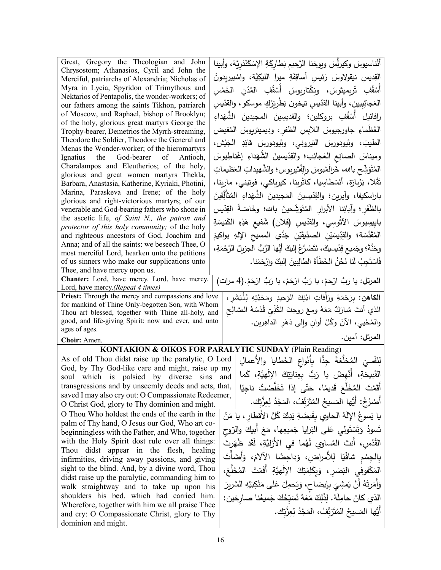| Great, Gregory the Theologian and John                                                            | أَثَنَاسيوسَ وكيرلِّسَ ويوحَنا الرَّحيم بَطاركَةِ الإِسْكَنْدَرِيَّة، وأبينا        |
|---------------------------------------------------------------------------------------------------|-------------------------------------------------------------------------------------|
| Chrysostom; Athanasios, Cyril and John the                                                        |                                                                                     |
| Merciful, patriarchs of Alexandria; Nicholas of                                                   | القِديسِ نيقولاوسَ رَئِيسِ أساقِفَةِ ميرا الليكِيَّة، واسْبيربِدونَ                 |
| Myra in Lycia, Spyridon of Trimythous and<br>Nektarios of Pentapolis, the wonder-workers; of      | أَسْقُفِ تْرِيمِيثوسَ، ونِكْتاريوسَ أَسْقُفِ المُدُن الخَمْسِ                       |
| our fathers among the saints Tikhon, patriarch                                                    | العَجائِبِيين، وأبينا القدّيس تيخون بَطْرِيَرْكِ موسكو ، والقدّيس                   |
| of Moscow, and Raphael, bishop of Brooklyn;                                                       | رافائيل أَسْقُفِ بروكلين؛ والقديسِينَ المجيدينَ الشَّهَداءِ                         |
| of the holy, glorious great martyrs George the                                                    |                                                                                     |
| Trophy-bearer, Demetrios the Myrrh-streaming,                                                     | الْعُظُماءِ جاورجيوسَ اللابسِ الظفرِ ، وديميتريوسَ المُفيض                          |
| Theodore the Soldier, Theodore the General and<br>Menas the Wonder-worker; of the hieromartyrs    | الطيبَ، وثيودورسَ النيروني، وثيودورسَ قائِدِ الجَيْش،                               |
| Ignatius the God-bearer<br>of Antioch,                                                            | وميناسَ الصانِعِ العَجائِب؛ والقِدّيسينَ الشُّهَداءِ إغْناطِيوسَ                    |
| Charalampos and Eleutherios; of the holy,                                                         |                                                                                     |
| glorious and great women martyrs Thekla,                                                          | المُتَوَشِّح بالله، خَرالَمْبوسَ والِفْتْيريوس؛ والشَّهيداتِ العَظيماتِ             |
| Barbara, Anastasia, Katherine, Kyriaki, Photini,                                                  | تَقْلا، بَرْبارَة، أَنَسْطاسِيا، كاثْرينا، كيرياكي، فوتيني، مارينا،                 |
| Marina, Paraskeva and Irene; of the holy                                                          | باراسكيفا، وآيرين؛ والقِدّيسينَ المَجيدينَ الشَّهَداءِ المُتَأَلِّقينَ              |
| glorious and right-victorious martyrs; of our                                                     |                                                                                     |
| venerable and God-bearing fathers who shone in                                                    | بالظَفَرِ ؛ وآبائِنا الأبرارِ ۖ المُتَوَشِّحينَ بالله؛ وخَاصَةً القِدّيسِ           |
| the ascetic life, of Saint N., the patron and                                                     | بابِيسِيوسَ الآثُوسِيِ، والقدّيسِ (فلان) شَفيع هَذِهِ الكَنيسَةِ                    |
| protector of this holy community; of the holy                                                     |                                                                                     |
| and righteous ancestors of God, Joachim and                                                       | المُقَدَّسَة؛ والقِدِّيسَيْنِ الصدِّيقَيْنِ جَدَّي المسيح الإِلهِ يواكيمَ           |
| Anna; and of all the saints: we beseech Thee, O<br>most merciful Lord, hearken unto the petitions | وحَنَّةَ؛ وجَميع قِدّيسيكَ، نَتَضَرَّعُ إليكَ أَيُّها الرَّبُّ الجزيلُ الرَّحْمَةِ، |
| of us sinners who make our supplications unto                                                     | فَاسْتَجِبْ لَنا نَحْنُ الْخَطَأَةَ الطالِبِينَ إِليكَ وارْحَمْنا.                  |
| Thee, and have mercy upon us.                                                                     |                                                                                     |
| Chanter: Lord, have mercy. Lord, have mercy.                                                      | ا <b>لمرتل:</b> يا رَبُّ ارْحَمْ، يا رَبُّ ارْحَمْ، يا رَبُّ ارْحَمْ. (4 مرات)      |
| Lord, have mercy.(Repeat 4 times)                                                                 |                                                                                     |
| Priest: Through the mercy and compassions and love                                                | ا <b>لكاهن:</b> بِرَحْمَةِ ورَأفاتِ ابْنِكَ الوَحيدِ ومَحَبَّتِهِ لِلْبَشَرِ ،      |
| for mankind of Thine Only-begotten Son, with Whom                                                 | الذي أنتَ مُبارَكٌ مَعَهُ ومعَ روحِكَ الكُلِّيِّ قُدْسُهُ الصَّالِحِ                |
| Thou art blessed, together with Thine all-holy, and                                               |                                                                                     |
| good, and life-giving Spirit: now and ever, and unto<br>ages of ages.                             | والمُحْيي، الآنَ وكُلَّ أوانِ وإلى دَهْرِ الداهِرين.                                |
|                                                                                                   | المرتل: آمين.                                                                       |
| Choir: Amen.                                                                                      | <b>KONTAKION &amp; OIKOS FOR PARALYTIC SUNDAY (Plain Reading)</b>                   |
| As of old Thou didst raise up the paralytic, O Lord                                               |                                                                                     |
| God, by Thy God-like care and might, raise up my                                                  | لِنَفْسَىَ المُخلَّعَةَ جِدًّا بِأَنْواعِ الخَطايا والأعمالِ                        |
| soul which is palsied by diverse sins and                                                         | القَبِيحَةِ، أَنْهِضْ يا رَبُّ بِعِنايَتِكَ الإِلَهِيَّةِ، كَما                     |
| transgressions and by unseemly deeds and acts, that,                                              |                                                                                     |
| saved I may also cry out: O Compassionate Redeemer,                                               | أَقَمْتَ الْمُخَلَّعَ قَديمًا، حَتَّى إِذا تَخَلَّصْتُ ناجِيًا                      |
| O Christ God, glory to Thy dominion and might.                                                    | أَصْرُخُ: أَيُّها المَسيحُ المُتَرَنِّفُ، المَجْدُ لِعِزَّتِك.                      |
| O Thou Who holdest the ends of the earth in the                                                   | يا يَسوعُ الإِلَهُ الحاوي بقَبضَةِ يَدِكَ كُلَّ الأَقطارِ ، يا مَنْ                 |
| palm of Thy hand, O Jesus our God, Who art co-                                                    |                                                                                     |
| beginningless with the Father, and Who, together                                                  | تَسودُ وَتَسْتَولَّى عَلَى الْبَرايا جَميعِها، مَعَ أبيكَ والرَّوح                  |
| with the Holy Spirit dost rule over all things:                                                   | القُدُس، أَنتَ المُساوي لَهُما في الأَزَلِيَّةِ، لَقَد ظَهَرِتَ                     |
| Thou didst appear in the flesh, healing                                                           |                                                                                     |
| infirmities, driving away passions, and giving                                                    | بِالْجِسْمِ شَافْيًا لِلأَمراضِ، وَداحِضًا الآلامَ، وَأَضَأْتَ                      |
| sight to the blind. And, by a divine word, Thou                                                   | المَكْفوفي البَصَرِ ، وَبِكَلِمَتِكَ الإِلَهِيَّةِ أَقَمْتَ المُخَلَّعَ،            |
| didst raise up the paralytic, commanding him to                                                   |                                                                                     |
| walk straightway and to take up upon his                                                          | وَأَمَرِتَهُ أَنْ يَمشِيَ بِإِيضاحِ، وَيَحمِلَ عَلى مَنْكِبَيْهِ السَّرِيرَ         |
| shoulders his bed, which had carried him.                                                         | الذي كانَ حامِلَهُ. لِذَلِكَ مَعَهُ نُسَبِّحُكَ جَميعُنا صارخين:                    |
| Wherefore, together with him we all praise Thee                                                   | أَيُّها المَسيحُ المُتَرَنِّفُ، المَجْدُ لِعِزَّتِك.                                |
| and cry: O Compassionate Christ, glory to Thy<br>dominion and might.                              |                                                                                     |
|                                                                                                   |                                                                                     |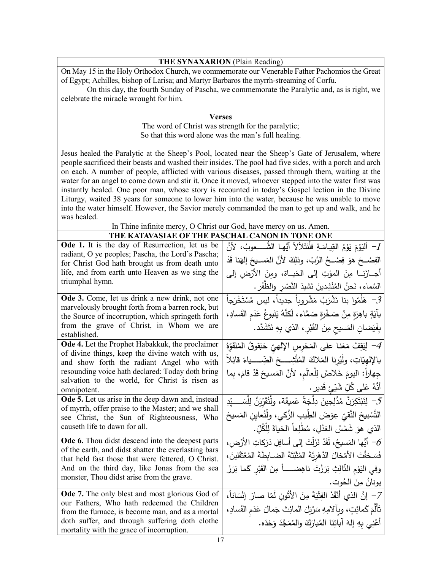## **THE SYNAXARION** (Plain Reading)

On May 15 in the Holy Orthodox Church, we commemorate our Venerable Father Pachomios the Great of Egypt; Achilles, bishop of Larisa; and Martyr Barbaros the myrrh-streaming of Corfu.

On this day, the fourth Sunday of Pascha, we commemorate the Paralytic and, as is right, we celebrate the miracle wrought for him.

## **Verses**

The word of Christ was strength for the paralytic; So that this word alone was the man's full healing.

Jesus healed the Paralytic at the Sheep's Pool, located near the Sheep's Gate of Jerusalem, where people sacrificed their beasts and washed their insides. The pool had five sides, with a porch and arch on each. A number of people, afflicted with various diseases, passed through them, waiting at the water for an angel to come down and stir it. Once it moved, whoever stepped into the water first was instantly healed. One poor man, whose story is recounted in today's Gospel lection in the Divine Liturgy, waited 38 years for someone to lower him into the water, because he was unable to move into the water himself. However, the Savior merely commanded the man to get up and walk, and he was healed.

## In Thine infinite mercy, O Christ our God, have mercy on us. Amen.

| THE KATAVASIAE OF THE PASCHAL CANON IN TONE ONE                                                            |                                                                                    |  |
|------------------------------------------------------------------------------------------------------------|------------------------------------------------------------------------------------|--|
| Ode 1. It is the day of Resurrection, let us be                                                            | 1-  أَليَوْمَ يَوْمُ القِيامَةِ فلَنَتَلألأ أَيُّها  الشُّــــعوبُ،  لأنَّ         |  |
| radiant, O ye peoples; Pascha, the Lord's Pascha;<br>for Christ God hath brought us from death unto        | الفِصْـــحَ هوَ فِصْـــحُ الرَّبّ، وذلِكَ لأنَّ المَســيحَ إلهَنا قَدْ             |  |
| life, and from earth unto Heaven as we sing the                                                            | أجــازَنـــا مِنَ المؤتِ إلى الحَيـــاة، ومِنَ الأرْضِ إلى                         |  |
| triumphal hymn.                                                                                            | السَّماء، نَحنُ المُنْشِدينَ نَشيدَ النَّصْرِ والظُّفَرِ .                         |  |
| Ode 3. Come, let us drink a new drink, not one                                                             | حَ ۖ هَلُمّوا بنا نَشْرَبُ مَشْروباً جديداً، ليس مُسْتَخْرَجاً ۖ $\mathcal{Z}$     |  |
| marvelously brought forth from a barren rock, but<br>the Source of incorruption, which springeth forth     | بآيَةٍ باهِرَةٍ مِنْ صَخْرةٍ صَمَّاء، لَكنَّهُ يَنْبوعُ عَدَم الفَسادِ،            |  |
| from the grave of Christ, in Whom we are                                                                   |                                                                                    |  |
| established.                                                                                               | بِفَيَضانِ المَسيحِ مِنَ القَبْرِ ، الذي بِهِ نَتَشَدَّد.                          |  |
| Ode 4. Let the Prophet Habakkuk, the proclaimer                                                            | 4– لِيَقِفْ مَعَنا على المَحْرِسِ الإِلهيّ حَبَقوقُ المُتَفَوِّهُ                  |  |
| of divine things, keep the divine watch with us,<br>and show forth the radiant Angel who with              | بالإلهيّاتِ، ولِّيُرنا المَلاكَ المُتَّشِــــحَ الضِّـــــياءَ قائِلاً             |  |
| resounding voice hath declared: Today doth bring                                                           | جِهاراً: اليومَ خَلاصٌ لِلْعالَمِ، لأَنَّ المَسيحَ قَدْ قامَ، بِما                 |  |
| salvation to the world, for Christ is risen as                                                             |                                                                                    |  |
| omnipotent.                                                                                                | ِ أَنَّهُ عَلٰى كُلِّ شَيْئٍ قَديرٍ .                                              |  |
| <b>Ode 5.</b> Let us arise in the deep dawn and, instead                                                   | 5− لِنَبْتَكِرَنَّ مُدَّلِجِينَ دِلْجَةً عَمِيقَة، وِلْنُقَرِّدَنَّ لِلْسَــــيّدِ |  |
| of myrrh, offer praise to the Master; and we shall<br>see Christ, the Sun of Righteousness, Who            | التَّسْبِيحَ النَّقيّ عِوَضَ الطِّيبِ الزَّكي، ولْنُعاين المَسيحَ                  |  |
| causeth life to dawn for all.                                                                              | الذي هوَ شَمْسُ العَذْلِ، مُطْلِعاً الحَياةَ لِلْكُلِّ.                            |  |
| Ode 6. Thou didst descend into the deepest parts                                                           | أَيُّها المَسيحُ، لَقَدْ نَزَلْتَ إلى أسافِلِ دَرَكاتِ الأَرْضِ • $\sigma$         |  |
| of the earth, and didst shatter the everlasting bars<br>that held fast those that were fettered, O Christ. | فَسَحَقْتَ الأَمْخالَ الدَّهْرِيَّةَ المُثَبَّتَةَ الضـابِطَةَ المُعْتَقَلينَ ،    |  |
| And on the third day, like Jonas from the sea                                                              | وفي اليَوْمِ الثَّالِثِ بَرَزْتَ ناهِضـــــاً مِنَ القَبْرِ كَما بَرَزَ            |  |
| monster, Thou didst arise from the grave.                                                                  | يونانُ مِنَ الحُوت.                                                                |  |
| <b>Ode 7.</b> The only blest and most glorious God of                                                      | 7– إنَّ الذي أَنْقَذَ الفِتْيَةَ مِنَ الأَتُونِ لَمّا صارَ إِنْسَاناً،             |  |
| our Fathers, Who hath redeemed the Children                                                                | تَأَلَّمَ كَمائِتٍ، وبِألامِهِ سَرْبَلَ المائِتَ جَمالَ عَدَمِ الفَسادِ،           |  |
| from the furnace, is become man, and as a mortal                                                           |                                                                                    |  |
| doth suffer, and through suffering doth clothe<br>mortality with the grace of incorruption.                | أَعْنِي بِهِ إِلهَ آبائِنَا الْمُبارَكَ والْمُمَجَّدَ وَحْدَه.                     |  |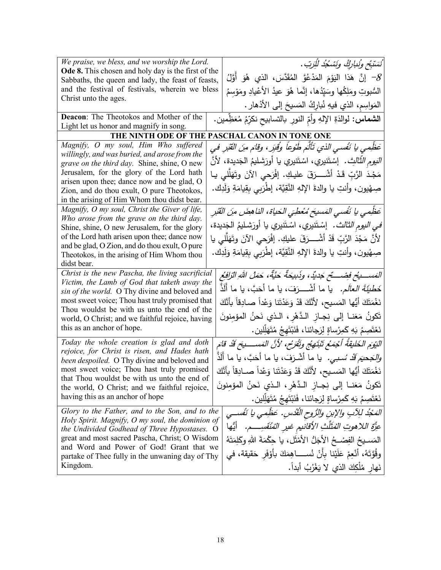| We praise, we bless, and we worship the Lord.                                                       | ُنَسَبَحٍ وِنُنارِكُ وَنَسْكُدُ لِلْرَبِّ .                                              |
|-----------------------------------------------------------------------------------------------------|------------------------------------------------------------------------------------------|
| <b>Ode 8.</b> This chosen and holy day is the first of the                                          | أَنَّ هَذَا الْيَوْمَ الْمَدْعُوَّ الْمُقَدَّسَ، الذي هُوَ أَوَّلُ $\mathcal{S}$         |
| Sabbaths, the queen and lady, the feast of feasts,                                                  |                                                                                          |
| and the festival of festivals, wherein we bless<br>Christ unto the ages.                            | السُّبوتِ ومَلِكُها وسَيِّدُها، إنَّما هُوَ عيدُ الأعْيادِ ومَوْسمُ                      |
|                                                                                                     | المَواسِم، الذي فيهِ نُبارِكُ المَسيحَ إلى الأذهار .                                     |
| <b>Deacon:</b> The Theotokos and Mother of the                                                      | ا <b>لشماس:</b> لوالدَةِ الإلهِ وأمِّ النورِ بالتسابيح نكرِّمُ مُعَظِّمين.               |
| Light let us honor and magnify in song.                                                             |                                                                                          |
|                                                                                                     | THE NINTH ODE OF THE PASCHAL CANON IN TONE ONE                                           |
| Magnify, O my soul, Him Who suffered                                                                | عَظِمي يا نَفْسي الذي تَأْلَمَ طُوْعاً وُقِبَرٍ ، وقامَ منَ القَبْرِ في                  |
| willingly, and was buried, and arose from the                                                       | <i>النيوم الثّالث .</i> إسْتَنيري، اسْتَنيري يا أورَشليمُ الجَديدة، لأنّ                 |
| grave on the third day. Shine, shine, O new                                                         |                                                                                          |
| Jerusalem, for the glory of the Lord hath                                                           | مَجْدَ الرَّبِّ قَدْ أَشْـــرَقَ عليكِ. إفْرَحي الآنَ وتَهَلَّلي يـا                     |
| arisen upon thee; dance now and be glad, O<br>Zion, and do thou exult, O pure Theotokos,            | صِهْيون، وأنتِ يا والدةَ الإلهِ النَّقِيَّة، إطْرَبِي بِقِيامَةِ وَلَدِك.                |
| in the arising of Him Whom thou didst bear.                                                         |                                                                                          |
| Magnify, O my soul, Christ the Giver of life,                                                       | عَظْمِي يا نَفْسي المَسيحَ مُعْطِيَ الحَياة، الناهِضَ مِنَ القَبْرِ                      |
| Who arose from the grave on the third day.                                                          |                                                                                          |
| Shine, shine, O new Jerusalem, for the glory                                                        | <i>في اليوم الثالث .</i> إسْتَنيري، اسْتَنيري يا أورَشليمُ الجَديدة،                     |
| of the Lord hath arisen upon thee; dance now                                                        | لأَنَّ مَجْدَ الرَّبِّ قَدْ أَشْــــرَقَ عليكِ. إِفْرَحي الآنَ وتَهَلَّلي يا             |
| and be glad, O Zion, and do thou exult, O pure                                                      |                                                                                          |
| Theotokos, in the arising of Him Whom thou                                                          | صِهْيون، وأنتِ يا والدةَ الإلهِ النَّقِيَّة، إطْرَبِي بِقِيامَةِ وَلَدِك.                |
| didst bear.                                                                                         |                                                                                          |
| Christ is the new Pascha, the living sacrificial                                                    | المَســــيحْ فضـــــحْ جَديدٌ، وذَبيحَةٌ حَيَّةٌ، حَمَلُ اللهِ الزّافِعُ                 |
| Victim, the Lamb of God that taketh away the<br>sin of the world. O Thy divine and beloved and      | خَطْ <i>يَةَ العالَم.</i> يا ما أشْــــرَفَ، يا ما أَحَبَّ، يا ما أَلَذٌ                 |
| most sweet voice; Thou hast truly promised that                                                     |                                                                                          |
| Thou wouldst be with us unto the end of the                                                         | نَغْمَتَكَ أَيُّها المَسيح، لأَنَّكَ قَدْ وَعَدْتَنا وَعْداً صـادِقاً بأَنَّكَ           |
| world, O Christ; and we faithful rejoice, having                                                    | تَكونُ مَعَنــا إلى نِجــاز الـدَّهْرِ ، الـذي نَحنُ المؤمِنونَ                          |
| this as an anchor of hope.                                                                          | نَعْتَصِمُ بَهِ كَمِرْساةٍ لِرَجائنا، فَنَبْتَهِجُ مُتَهَلِّلِين.                        |
| Today the whole creation is glad and doth                                                           | النِّيوَمِ الخَلْيقَةُ أَجْمَعُ تَنْتَهِجُ وَتَقْرَحُ، لأَنَّ الْمَسْــــنِحَ قَدْ قَامَ |
| rejoice, for Christ is risen, and Hades hath<br>been despoiled. O Thy divine and beloved and        | <i>وللجحيَم قَدْ سُـبـى.</i> يا ما أشْـرَفَ، يا ما أَحَبَّ، يا ما أَلَذٌ                 |
| most sweet voice; Thou hast truly promised                                                          | نَغْمَتَكَ أَيُّها المَسيح، لأَنَّكَ قَدْ وَعَدْتَنا وَعْداً صــادِقاً بأَنَّكَ          |
| that Thou wouldst be with us unto the end of                                                        | تَكونُ مَعَنــا إلى نِجــازِ الـدَّهْرِ ، الـذي نَحنُ المؤمنونَ                          |
| the world, O Christ; and we faithful rejoice,<br>having this as an anchor of hope                   | نَعْتَصِمُ بَهِ كَمِرْساةٍ لِرَجائنا، فَنَبْتَهِجُ مُتَهَلِّلِين.                        |
|                                                                                                     |                                                                                          |
| Glory to the Father, and to the Son, and to the<br>Holy Spirit. Magnify, O my soul, the dominion of | المَجْدُ للِآبِ والإبنِ والرُّوحِ الْقُدُسِ. عَظِّمِي يا نَفْسـي                         |
| the Undivided Godhead of Three Hypostases. O                                                        | عزَّةِ اللاهوتِ المُثَلَّتِ الأقانيم غيرِ المُنْقَسِـــم.    أَيُّها                     |
| great and most sacred Pascha, Christ; O Wisdom                                                      | المَسـيحُ الفِصْــحُ الأجَلُّ الأَمْثَلِ، يا حِكْمَةَ اللهِ وكَلِمَتَهُ                  |
| and Word and Power of God! Grant that we                                                            |                                                                                          |
| partake of Thee fully in the unwaning day of Thy                                                    | وقُوَّتَهُ، أَنْعِمْ عَلَيْنا بِأَنْ نُســــاهِمَكَ بِأَوْفَرِ حَقيقة، في                |
| Kingdom.                                                                                            | نَهار مُلْكِكَ الذي لا يَغْرُبُ أَبِداً.                                                 |
|                                                                                                     |                                                                                          |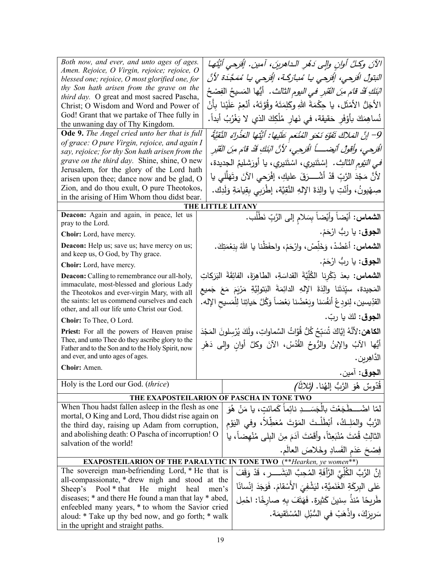| Both now, and ever, and unto ages of ages.                                                                                      |       | الآنَ وكِلَّ أُولن والِي دَمُرِ الداهرينَ، آمينِ. إفْرَحي أيَّتُها                                |
|---------------------------------------------------------------------------------------------------------------------------------|-------|---------------------------------------------------------------------------------------------------|
| Amen. Rejoice, O Virgin, rejoice; rejoice, O                                                                                    |       |                                                                                                   |
| blessed one; rejoice, O most glorified one, for                                                                                 |       | الْبَتولُ الْقَرحى، إِفْرَحي يا مُبارَكَـة، إِفْرَحي يا مُمَجَّدَة لأَنَّ                         |
| thy Son hath arisen from the grave on the<br>third day. O great and most sacred Pascha,                                         |       | <i>اتِنَكِ قَدْ قام منَ القَبْرِ في اليوم الثالث.</i> أَيُّها المَسيحُ الفِصْحُ                   |
| Christ; O Wisdom and Word and Power of                                                                                          |       | الأجَلُ الأَمْثَلِ، يا حِكْمَةَ اللهِ وكَلِمَتَهُ وقُوَّتَهُ، أَنْعِمْ عَلَيْنا بِأَنْ            |
| God! Grant that we partake of Thee fully in                                                                                     |       | نُساهِمَكَ بأَوْفَرِ حَقيقة، في نَهارِ مُلْكِكَ الذي لا يَغْرُبُ أبداً.                           |
| the unwaning day of Thy Kingdom.                                                                                                |       |                                                                                                   |
| Ode 9. The Angel cried unto her that is full                                                                                    |       | 9– إنَّ المَلاكَ تَفَوَّهَ نَحْو المُنْعَمِ عَلَيْها: أَيَّتُها العَذْراءُ النَّقِيَّةُ           |
| of grace: O pure Virgin, rejoice, and again I<br>say, rejoice; for thy Son hath arisen from the                                 |       | الْقَرِحِي، وأَقُولُ أَنْيَضَـــــاً الْقَرِحِي، لأَنَّ ابْنَكِ قَدْ قَامَ مِنَ الْقَبْرِ         |
| grave on the third day. Shine, shine, O new                                                                                     |       | <i>في النيْوم الثالث.</i> إسْتَنيري، اسْتَنيري، يا أورَشليمُ الجديدة،                             |
| Jerusalem, for the glory of the Lord hath                                                                                       |       |                                                                                                   |
| arisen upon thee; dance now and be glad, O                                                                                      |       | لأَنَّ مَجْدَ الرَّبِّ قَدْ أَشْــــرَقَ عليكِ، إفْرَحى الآنَ وتَهَلَّلي يا                       |
| Zion, and do thou exult, O pure Theotokos,                                                                                      |       | صِهْيونُ، وأَنْتِ يا والِدَةَ الإِلهِ النَّقِيَّة، إطْرَبِي بِقِيامَةِ وَلَدِك.                   |
| in the arising of Him Whom thou didst bear.                                                                                     |       |                                                                                                   |
| Deacon: Again and again, in peace, let us                                                                                       |       | THE LITTLE LITANY                                                                                 |
| pray to the Lord.                                                                                                               |       | الشماس: أيْضاً وأيْضاً بِسَلامِ إلى الرَّبِّ نَطْلُب.                                             |
| Choir: Lord, have mercy.                                                                                                        |       | ا <b>لجوق</b> : يا ربُّ ارْحَمْ.                                                                  |
| <b>Deacon:</b> Help us; save us; have mercy on us;<br>and keep us, O God, by Thy grace.                                         |       | ا <b>لشماس:</b> أعْضُدْ، وَخَلِّصْ، وارْحَمْ، واحفَظْنا يا اللهُ بِنِعْمَتِكَ.                    |
| Choir: Lord, have mercy.                                                                                                        |       | ا <b>لجوق</b> : يا ربُّ ارْحَمْ.                                                                  |
|                                                                                                                                 |       | ا <b>لشماس:</b> بعدَ ذِكْرِنا الكُلِّيَّةَ القداسَةِ، الطاهِرَةَ، الفائِقَةَ البَرَكاتِ           |
| <b>Deacon:</b> Calling to remembrance our all-holy,<br>immaculate, most-blessed and glorious Lady                               |       |                                                                                                   |
| the Theotokos and ever-virgin Mary, with all                                                                                    |       | المَجيدة، سيِّدَتَنا والِدَةَ الإِلهِ الدائِمَةَ البَتولِيَّةِ مَرْيَمَ مَعَ جَميع                |
| the saints: let us commend ourselves and each<br>other, and all our life unto Christ our God.                                   |       | القدِّيسين، لِنودِعْ أنفُسَنا وبَعْضُنا بَعْضاً وَكُلَّ حَياتِنا لِلْمَسيحِ الإله.                |
| Choir: To Thee, O Lord.                                                                                                         |       | ا <b>لجوق:</b> لكَ يا ربّ.                                                                        |
| <b>Priest:</b> For all the powers of Heaven praise                                                                              |       | ا <b>لكاهن:</b> 'لأنَّهُ إِيَّاكَ شُبَبِّحُ كُلُّ قُوَّاتُ السَّماواتِ، ولَكَ يُرْسِلونَ المَجْدَ |
| Thee, and unto Thee do they ascribe glory to the                                                                                |       | أَيُّها الآبُ والإبنُ والرُّوحُ القُدُسُ، الآنَ وكلَّ أوانِ وإِلى دَهْرِ                          |
| Father and to the Son and to the Holy Spirit, now                                                                               |       |                                                                                                   |
| and ever, and unto ages of ages.<br>Choir: Amen.                                                                                |       | الدّاهِرين.                                                                                       |
|                                                                                                                                 |       | ا <b>لجوق</b> : آمين.                                                                             |
| Holy is the Lord our God. (thrice)                                                                                              |       | ِقُدّوسٌ هُوَ الرَّبُّ إِلهُنا. <i>(ثلاثاً)</i>                                                   |
|                                                                                                                                 |       | THE EXAPOSTEILARION OF PASCHA IN TONE TWO                                                         |
| When Thou hadst fallen asleep in the flesh as one                                                                               |       | لمّا اضْــــطَجَعْتَ بِالْجَسَــــدِ نائِماً كَمائتِ، يا مَنْ هُوَ                                |
| mortal, O King and Lord, Thou didst rise again on                                                                               |       |                                                                                                   |
| the third day, raising up Adam from corruption,                                                                                 |       | الرَّبُّ والمَلِـكُ، أَبْطَلَـتَ المَوْتَ مُعَطِّلاً، وفي اليَوْم                                 |
| and abolishing death: O Pascha of incorruption! O                                                                               |       | الثالِثِ قُمْتَ مُنْبَعِثًاً، وأَقَمْتَ آدَمَ مِنَ البلي مُنْهضاً، يا                             |
| salvation of the world!                                                                                                         |       | فِصْحَ عَدَمِ الْفَسادِ وخَلاصَ العالَمِ.                                                         |
|                                                                                                                                 |       | <b>EXAPOSTEILARION OF THE PARALYTIC IN TONE TWO</b> (**Hearken, ye women**)                       |
| The sovereign man-befriending Lord, * He that is<br>إِنَّ الرَّبَّ الكُلِّيَّ الرَّأَفَةِ المُحِبَّ البَشَـــــرِ ، قَدْ وَقَفَ |       |                                                                                                   |
| all-compassionate, * drew nigh and stood at the                                                                                 |       |                                                                                                   |
| Sheep's Pool * that He<br>might<br>heal                                                                                         | men's | عَلَى البِرِكَةِ الغَنَميَّةِ، ليَشْفِيَ الأَسْقامَ. فَوَجَدَ إِنْسانًا                           |
| diseases; * and there He found a man that lay * abed,                                                                           |       | طَرِيحًا مُنذُ سِنينَ كَثيرةِ. فَهَتَفَ بهِ صارِخًا: احْمِل                                       |
| enfeebled many years, * to whom the Savior cried                                                                                |       | سَرِيرَكَ، واذْهَبْ في السُّبُلِ المُسْتَقيمَة.                                                   |
| aloud: * Take up thy bed now, and go forth; * walk                                                                              |       |                                                                                                   |
| in the upright and straight paths.                                                                                              |       |                                                                                                   |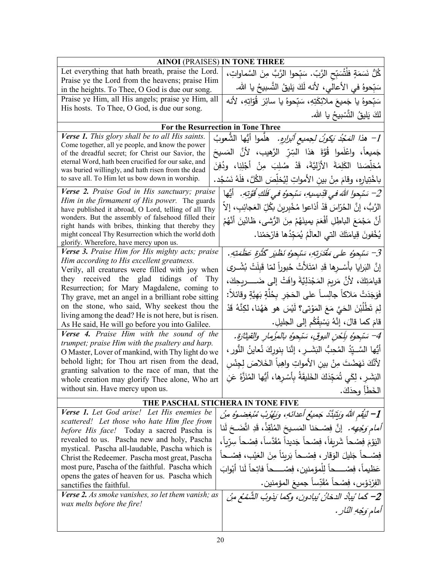| <b>AINOI</b> (PRAISES) IN TONE THREE                                                                   |                                                                                   |  |
|--------------------------------------------------------------------------------------------------------|-----------------------------------------------------------------------------------|--|
| Let everything that hath breath, praise the Lord.                                                      | كُلُّ نَسَمَةٍ فلْتُسَبِّحِ الرَّبِّ. سَبِّحوا الرَّبَّ مِنَ السَّماواتِ،         |  |
| Praise ye the Lord from the heavens; praise Him                                                        | سَبّحوهُ في الأعالي، لأنه لَكَ يَليقُ النَّسبيحُ يا الله.                         |  |
| in the heights. To Thee, O God is due our song.<br>Praise ye Him, all His angels; praise ye Him, all   |                                                                                   |  |
| His hosts. To Thee, O God, is due our song.                                                            | سَبّحوهُ يا جَميعَ ملائِكَتِهِ، سَبّحوهُ يا سائِرَ  قُوّاتِهِ، لأنه               |  |
|                                                                                                        | لكَ يَليقُ التَّسْبِيحُ يا الله.                                                  |  |
|                                                                                                        | <b>For the Resurrection in Tone Three</b>                                         |  |
| <b>Verse 1.</b> This glory shall be to all His saints.                                                 | 1– ه <i>ذا المَحْدُ بَكونُ لـِجميع أثبرارِهِ.</i> هلّموا أيُّها الشُّعوبُ         |  |
| Come together, all ye people, and know the power<br>of the dreadful secret; for Christ our Savior, the | جَميعاً، واعْلَموا قُوَّةَ هَذا السِّرِّ الرَّهيب، لأنَّ المَسيحَ                 |  |
| eternal Word, hath been crucified for our sake, and                                                    |                                                                                   |  |
| was buried willingly, and hath risen from the dead                                                     | مُخلِّصَنا الكَلِمَةَ الأَزَليَّةَ، قَدْ صُلِبَ مِنْ أَجْلِنِا، ودُفِنَ           |  |
| to save all. To Him let us bow down in worship.                                                        | باخْتِيارِهِ، وقامَ مِنْ بينِ الأمواتِ لِيُخلِّصَ الكُلَّ، فلَهُ نَسْجُد.         |  |
| Verse 2. Praise God in His sanctuary; praise                                                           | 2– سَبْحوا اللهَ في قَدِيسِيهِ، سَبْحوُهِ في فَلَكِ قُوَّتِهِ.    أَيُّها         |  |
| Him in the firmament of His power. The guards<br>have published it abroad, O Lord, telling of all Thy  | الرَّبُّ، إنَّ الحُرّاسَ قَدْ أَذاعوا مُخْبِرينَ بكُلِّ العَجائِبِ، إلاَّ         |  |
| wonders. But the assembly of falsehood filled their                                                    | أَنَّ مَجْمَعَ الْبَاطِلِ أَفْعَمَ يمينَهُمْ مِنَ الرُّشي، ظَانَّينَ أَنَّهُمْ    |  |
| right hands with bribes, thinking that thereby they                                                    |                                                                                   |  |
| might conceal Thy Resurrection which the world doth<br>glorify. Wherefore, have mercy upon us.         | يُخْفونَ قِيامَتَكَ التي العالَمُ يُمَجِّدُها فارْحَمْنا.                         |  |
| Verse 3. Praise Him for His mighty acts; praise                                                        | 3– سَبْحوُه على مَقْدَرتهِ، سَبْحوُه نَظْيَر كَثْرَةٍ عَظَمَتِهِ.                 |  |
| Him according to His excellent greatness.                                                              | إِنَّ البَرايا بأَسْــرِها قَدِ امْتَلَأْتْ خُبوراً لمّا قَبلَتْ بُشْــرى         |  |
| Verily, all creatures were filled with joy when                                                        |                                                                                   |  |
| they received the glad tidings of<br>Thy<br>Resurrection; for Mary Magdalene, coming to                | قيامَتِكَ، لأَنَّ مَرِيمَ المَجْدَلِيَّةَ وافَتْ إلى ضَـــــريحِكَ،               |  |
| Thy grave, met an angel in a brilliant robe sitting                                                    | فَوَجَدَتْ مَلاكاً جالِسـاً على الحَجَرِ بِخُلَّةٍ بَهِيَّةٍ وقائلاً:             |  |
| on the stone, who said, Why seekest thou the                                                           | لِمَ تَطْلُبْنَ الحَيَّ مَعَ المَوْتي؟ لَيْسَ هو هَهُنا، لكِنَّهُ قَدْ            |  |
| living among the dead? He is not here, but is risen.                                                   | قامَ كما قالَ، إنَّهُ يَسْبِقُكُم إلى الجليلِ.                                    |  |
| As He said, He will go before you into Galilee.                                                        |                                                                                   |  |
| Verse 4. Praise Him with the sound of the<br>trumpet; praise Him with the psaltery and harp.           | 4– سَبْحوُه بِلَحْنِ البوقِ، سَبْحوُهِ بالمزْمارِ والقيثارَةِ.                    |  |
| O Master, Lover of mankind, with Thy light do we                                                       | أَيُّها السَّــبِّدُ المُحِبُّ النَشَــرِ ، إنَّنا بِنوركَ نُعاينُ النُّورِ ،     |  |
| behold light; for Thou art risen from the dead,                                                        | لأَنَّكَ نَهَضْتَ مِنْ بينِ الأَمواتِ واهِباً الخَلاصَ لِجِنْسِ                   |  |
| granting salvation to the race of man, that the                                                        | ِ النِّشَرِ ، لِكَي تُمَجِّدَكَ الخَليقَةُ بِأَسْرِها، أَيُّها المُنَزَّهُ عَنِ   |  |
| whole creation may glorify Thee alone, Who art                                                         |                                                                                   |  |
| without sin. Have mercy upon us.                                                                       | الْخَطَأِ وحدَكَ.                                                                 |  |
| THE PASCHAL STICHERA IN TONE FIVE                                                                      |                                                                                   |  |
| Verse 1. Let God arise! Let His enemies be<br>scattered! Let those who hate Him flee from              | ِ 1– لَيَقِم اللَّهُ وَبَيِّبَنَّدُ جَمِيعُ أَعدائَهِ، وَيَهْرُبْ مُبْغِضوهُ مِنْ |  |
| before His face! Today a sacred Pascha is                                                              | <i>أمام وَجْهِه.</i> إنَّ فِصْحَنا المَسيحَ المُنْقِذْ، قَدِ اتَّضَحَ لَنا        |  |
| revealed to us. Pascha new and holy, Pascha                                                            | الْيَوْمَ فِصْحاً شَرِيفاً، فِصْحاً جَدِيداً مُقَدَّساً، فِصْحاً سِرِّياً،        |  |
| mystical. Pascha all-laudable, Pascha which is                                                         |                                                                                   |  |
| Christ the Redeemer. Pascha most great, Pascha                                                         | فِصْــحاً جَليلَ الوَقارِ ، فِصْــحاً بَرِيئاً مِنَ العَيْبِ، فِصْــحاً           |  |
| most pure, Pascha of the faithful. Pascha which<br>opens the gates of heaven for us. Pascha which      | عَظيماً، فِصْـــــــــــاً لِلْمؤمنين، فِصْـــــــــــاً فاتِـحاً لَنا أَبْوابَ   |  |
| sanctifies the faithful.                                                                               | الفِرْدَوْسِ، فِصْحاً مُقَدِّساً جميعَ المؤمنين.                                  |  |
| <b>Verse 2.</b> As smoke vanishes, so let them vanish; as                                              | 2– كَما بُيادُ الدخانُ بُيادونِ، وكَما بَذوبُ الشَّمْعُ مِنْ                      |  |
| wax melts before the fire!                                                                             | أمام وَجْهِ النّارِ .                                                             |  |
|                                                                                                        |                                                                                   |  |
|                                                                                                        |                                                                                   |  |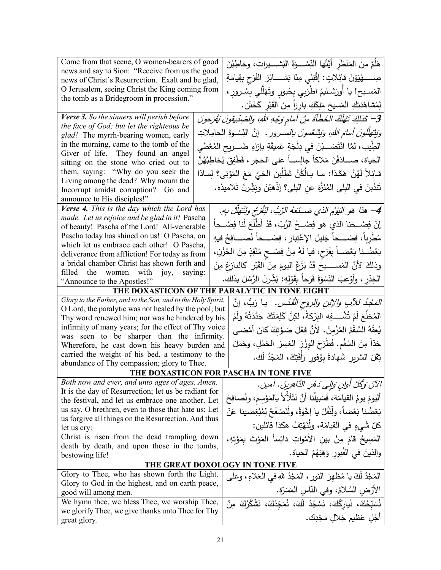| Come from that scene, O women-bearers of good<br>news and say to Sion: "Receive from us the good | هَلُمَّ مِنَ المَنْظَرِ أَيَّتُها النِّسْـــوَةُ البَشــــيرات، وخاطِبْنَ                              |
|--------------------------------------------------------------------------------------------------|--------------------------------------------------------------------------------------------------------|
| news of Christ's Resurrection. Exalt and be glad,                                                | صِـــــــهْيَوْنَ قَائِلاتٍ: إِقْبَلِي مِنّا بَشــــــائِرَ الفَرَحِ بِقِيامَةِ                        |
| O Jerusalem, seeing Christ the King coming from                                                  | المَسـيح! يا أورَشـليمُ اطْرَبي بِحُبورِ وتَهَلّلي بِسُـرورِ ،                                         |
| the tomb as a Bridegroom in procession."                                                         | لِمُشاهَدَتِكِ المَسيحَ مَلِكَكِ بارِزاً مِنَ القَبْرِ كَخَتَن.                                        |
|                                                                                                  |                                                                                                        |
| Verse 3. So the sinners will perish before                                                       | 3– كَذَلِكَ تَهْلَكُ الخَطَأَةُ مِنْ أمام وَجْهِ اللهِ، والصِّدِّيقونَ يُفَرَحونَ                      |
| the face of God; but let the righteous be<br>glad! The myrrh-bearing women, early                | <i>وَيَتَهَلَّلُونَ أَمامَ اللَّهِ، وَيَتَنَعَّمُونَ بِالسَّـرورِ .</i> إِنَّ النِّسْـوَةَ الْحامِلاتِ |
| in the morning, came to the tomb of the                                                          | الطِّيب، لمَّا انْتَصَـــبْنَ في دِلْجَةٍ عَميقَةٍ بإزاءِ ضَـــريح المُعْطي                            |
| Giver of life. They found an angel                                                               |                                                                                                        |
| sitting on the stone who cried out to                                                            | الحَياة، صــــادَفْنَ مَلاكاً جالِســـاً على الحَجَرِ ، فَطَفِقَ يُخاطِبُهُنَّ                         |
| them, saying: "Why do you seek the                                                               | قَـائِلاً لَهُنَّ هَكَـذا: مـا بـالُكُنَّ تَطْلُبنَ الحَيَّ مَعَ المَوْتي؟ لِمــاذا                    |
| Living among the dead? Why mourn the                                                             | تَندُبنَ في البِلى المُنَزَّهَ عَنِ البِلى؟ إذْهَبْنَ وبَشِّرنَ تَلاميذَه.                             |
| Incorrupt amidst corruption? Go and                                                              |                                                                                                        |
| announce to His disciples!"<br>Verse 4. This is the day which the Lord has                       |                                                                                                        |
| made. Let us rejoice and be glad in it! Pascha                                                   | 4– هذا هو النيوُم الذي صَــنَعهُ الرَّبُ، لَنُفَرَّح وَنَتَهَلَّلْ بهِ.                                |
| of beauty! Pascha of the Lord! All-venerable                                                     | إِنَّ فِصْـــحَنا الذي هو فِصْـــحُ الرَّبّ، قَدْ أَطْلَعَ لَنا فِصْـــحاً                             |
| Pascha today has shined on us! O Pascha, on                                                      | مُطْرِبًا، فِصْــــحاً جَليلَ الإعْتِبارِ ، فِصْــــحاً نُصــــافِحُ فيهِ                              |
| which let us embrace each other! O Pascha,                                                       |                                                                                                        |
| deliverance from affliction! For today as from                                                   | بَعْضُـنا بَعْضــاً بِفَرَحٍ، فيا لَهُ مِنْ فِصْـحِ مُنْقِزِ مِنَ الحُزْنِ،                            |
| a bridal chamber Christ has shown forth and                                                      | وذلكَ لأنَّ المَســـــــيحَ قَدْ بَزَغَ اليومَ مِنَ القَبْرِ كالدبازِغِ مِنَ                           |
| filled the women with joy,<br>saying:                                                            | الْخِدْرِ ، وأَوْعِبَ النِّسْوَةَ فَرَحاً بِقَوْلِهِ: بَشِّرنَ الرُّسُلَ بذلك.                         |
| "Announce to the Apostles!"<br>THE DOXASTICON OF THE PARALYTIC IN TONE EIGHT                     |                                                                                                        |
| Glory to the Father, and to the Son, and to the Holy Spirit.                                     |                                                                                                        |
| O Lord, the paralytic was not healed by the pool; but                                            | الْمَجْدُ للأَبِ ولِلإِبنِ والروحِ الْقُدُسِ. ۖ يا رَبُّ، إنَّ                                         |
| Thy word renewed him; nor was he hindered by his                                                 | المُخلِّعَ لَمْ تُشْــــفِهِ البِرْكةُ، لكِنَّ كَلِمَتَكَ جَدَّدَتْهُ ولَمْ                            |
| infirmity of many years; for the effect of Thy voice                                             | يُعِقْهُ السُّقْمُ المُزْمِنُ. لأنَّ فِعْلَ صَـوْتِكَ كانَ أَمْضـي                                     |
| was seen to be sharper than the infirmity.                                                       | حَدّاً مِنَ السُقْمِ. فَطَرَحَ الوِزْرَ  العَسِرَ  الحَمْلِ، وحَمَلَ                                   |
| Wherefore, he cast down his heavy burden and                                                     |                                                                                                        |
| carried the weight of his bed, a testimony to the<br>abundance of Thy compassion; glory to Thee. | ثِقَلَ السَّرِيرِ شَهادةً بِوُفورِ رَأفَتِكَ، المَجْدُ لَك.                                            |
| THE DOXASTICON FOR PASCHA IN TONE FIVE                                                           |                                                                                                        |
| Both now and ever, and unto ages of ages. Amen.                                                  |                                                                                                        |
| It is the day of Resurrection; let us be radiant for                                             | الآنَ وَكُلَّ أُوانٍ وَالِي دَهْرِ الدَّاهِرِينَ. آمين.                                                |
| the festival, and let us embrace one another. Let                                                | أَليومَ يومُ القيامَة، فَسَبِيلُنا أَنْ نَتَلَألأَ بالمَوْسِم، ونُصافِحَ                               |
| us say, O brethren, even to those that hate us: Let                                              | بَعْضُنا بَعْضاً، ولْنَقُلْ يا إخْوَةُ، ولْنَصْفَحْ لِمُبْغِضينا عَنْ                                  |
| us forgive all things on the Resurrection. And thus<br>let us cry:                               | كلِّ شَيْءٍ في القيامَةِ، ولْنَهْتِفْ هكذا قائلين:                                                     |
| Christ is risen from the dead trampling down                                                     | المَسِيحُ قامَ مِنْ بينِ الأَمْواتِ دائِساً المَوْتَ بِمَوْتِهِ،                                       |
| death by death, and upon those in the tombs,                                                     |                                                                                                        |
| bestowing life!                                                                                  | والذينَ في القُبورِ وَهَبَهُمُ الحياة.                                                                 |
| THE GREAT DOXOLOGY IN TONE FIVE                                                                  |                                                                                                        |
| Glory to Thee, who has shown forth the Light.                                                    | الْمَجْدُ لَكَ يا مُظْهِرَ النورِ ، الْمَجْدُ للَّهِ في الْعَلاءِ ، وعلى                               |
| Glory to God in the highest, and on earth peace,                                                 | الأَرْضِ السَّلامُ، وفي النَّاسِ المَسَرَّة.                                                           |
| good will among men.<br>We hymn thee, we bless Thee, we worship Thee,                            |                                                                                                        |
| we glorify Thee, we give thanks unto Thee for Thy                                                | نُسَبِّحُكَ، نُبارِكُكَ، نَسْجُدُ لَكَ، نُمَجّدُكَ، نَشْكُرُكَ مِنْ                                    |
| great glory.                                                                                     | أَجْلِ عَظْيم جَلالٍ مَجْدِك.                                                                          |
|                                                                                                  |                                                                                                        |